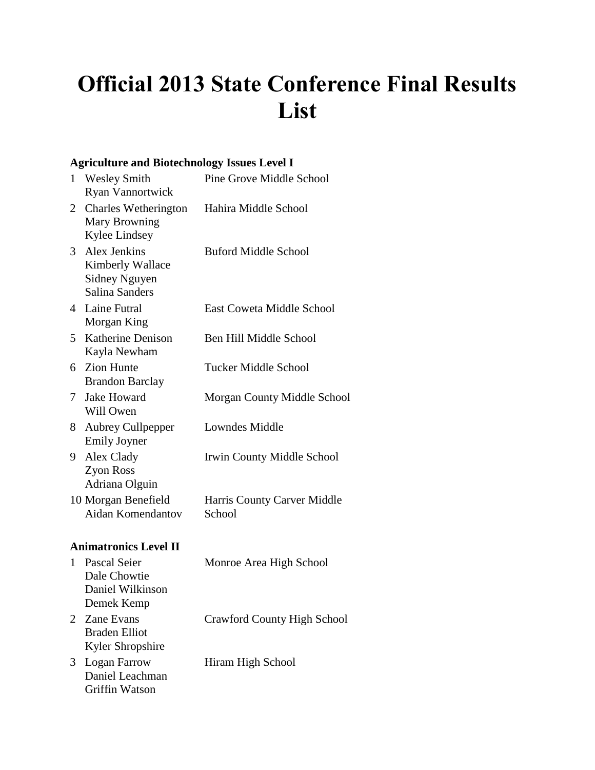# **Official 2013 State Conference Final Results List**

#### **Agriculture and Biotechnology Issues Level I**

| $\mathbf{1}$ | <b>Wesley Smith</b><br><b>Ryan Vannortwick</b>                             | <b>Pine Grove Middle School</b>       |
|--------------|----------------------------------------------------------------------------|---------------------------------------|
| 2            | <b>Charles Wetherington</b><br><b>Mary Browning</b><br>Kylee Lindsey       | Hahira Middle School                  |
| 3            | Alex Jenkins<br>Kimberly Wallace<br>Sidney Nguyen<br><b>Salina Sanders</b> | <b>Buford Middle School</b>           |
| 4            | Laine Futral<br>Morgan King                                                | <b>East Coweta Middle School</b>      |
| 5.           | <b>Katherine Denison</b><br>Kayla Newham                                   | Ben Hill Middle School                |
| 6            | <b>Zion Hunte</b><br><b>Brandon Barclay</b>                                | <b>Tucker Middle School</b>           |
| $\tau$       | <b>Jake Howard</b><br>Will Owen                                            | Morgan County Middle School           |
| 8.           | Aubrey Cullpepper<br><b>Emily Joyner</b>                                   | Lowndes Middle                        |
| 9.           | Alex Clady<br>Zyon Ross<br>Adriana Olguin                                  | Irwin County Middle School            |
|              | 10 Morgan Benefield<br>Aidan Komendantov                                   | Harris County Carver Middle<br>School |
|              | <b>Animatronics Level II</b>                                               |                                       |
|              | 1 Pascal Seier                                                             | Monroe Area High School               |

Dale Chowtie Daniel Wilkinson Demek Kemp 2 Zane Evans Braden Elliot Kyler Shropshire Crawford County High School 3 Logan Farrow Daniel Leachman Hiram High School

Griffin Watson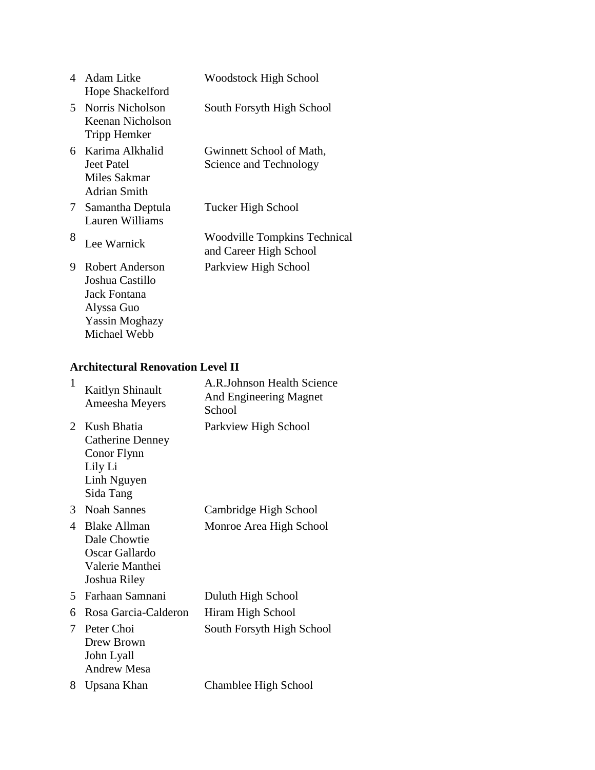| 4  | Adam Litke<br>Hope Shackelford                                                            | <b>Woodstock High School</b>                           |
|----|-------------------------------------------------------------------------------------------|--------------------------------------------------------|
| 5. | Norris Nicholson<br>Keenan Nicholson<br>Tripp Hemker                                      | South Forsyth High School                              |
|    | 6 Karima Alkhalid<br>Jeet Patel<br>Miles Sakmar<br>Adrian Smith                           | Gwinnett School of Math,<br>Science and Technology     |
| 7  | Samantha Deptula<br>Lauren Williams                                                       | Tucker High School                                     |
| 8  | Lee Warnick                                                                               | Woodville Tompkins Technical<br>and Career High School |
| 9  | Robert Anderson<br>Joshua Castillo<br>Jack Fontana<br>Alyssa Guo<br><b>Yassin Moghazy</b> | Parkview High School                                   |

### **Architectural Renovation Level II**

Michael Webb

| $\mathbf{1}$ | <b>Kaitlyn Shinault</b><br>Ameesha Meyers                                                    | A.R.Johnson Health Science<br>And Engineering Magnet<br>School |
|--------------|----------------------------------------------------------------------------------------------|----------------------------------------------------------------|
| 2            | Kush Bhatia<br><b>Catherine Denney</b><br>Conor Flynn<br>Lily Li<br>Linh Nguyen<br>Sida Tang | Parkview High School                                           |
| 3            | <b>Noah Sannes</b>                                                                           | Cambridge High School                                          |
| 4            | <b>Blake Allman</b><br>Dale Chowtie<br>Oscar Gallardo<br>Valerie Manthei<br>Joshua Riley     | Monroe Area High School                                        |
| 5.           | Farhaan Samnani                                                                              | Duluth High School                                             |
| 6            | Rosa Garcia-Calderon                                                                         | Hiram High School                                              |
| 7            | Peter Choi<br>Drew Brown<br>John Lyall<br><b>Andrew Mesa</b>                                 | South Forsyth High School                                      |
| 8            | Upsana Khan                                                                                  | Chamblee High School                                           |
|              |                                                                                              |                                                                |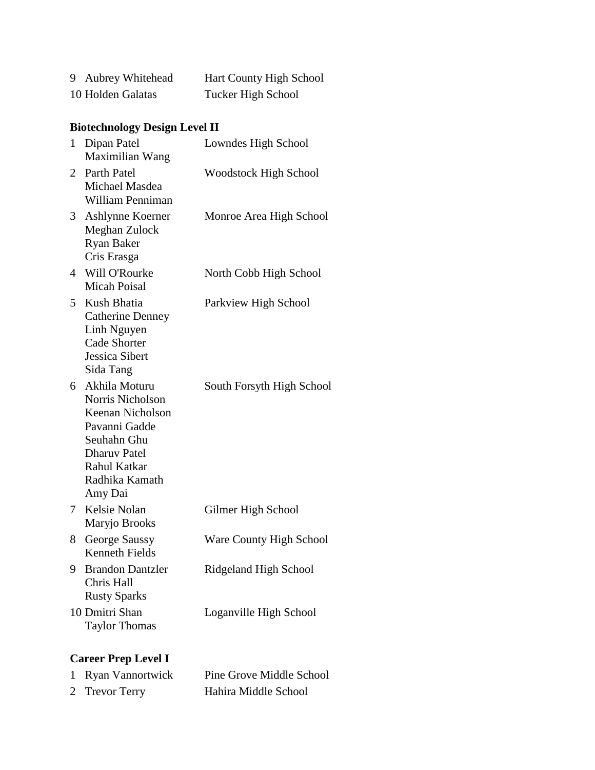| 9 Aubrey Whitehead | Hart County High School   |
|--------------------|---------------------------|
| 10 Holden Galatas  | <b>Tucker High School</b> |

# **Biotechnology Design Level II**

| $\mathbf{1}$   | Dipan Patel<br>Maximilian Wang                                                                                                                              | Lowndes High School          |
|----------------|-------------------------------------------------------------------------------------------------------------------------------------------------------------|------------------------------|
|                | 2 Parth Patel<br>Michael Masdea<br>William Penniman                                                                                                         | <b>Woodstock High School</b> |
| 3              | Ashlynne Koerner<br>Meghan Zulock<br><b>Ryan Baker</b><br>Cris Erasga                                                                                       | Monroe Area High School      |
| $\overline{4}$ | Will O'Rourke<br><b>Micah Poisal</b>                                                                                                                        | North Cobb High School       |
| 5              | Kush Bhatia<br><b>Catherine Denney</b><br>Linh Nguyen<br><b>Cade Shorter</b><br>Jessica Sibert<br>Sida Tang                                                 | Parkview High School         |
|                | 6 Akhila Moturu<br>Norris Nicholson<br>Keenan Nicholson<br>Pavanni Gadde<br>Seuhahn Ghu<br><b>Dharuv Patel</b><br>Rahul Katkar<br>Radhika Kamath<br>Amy Dai | South Forsyth High School    |
|                | 7 Kelsie Nolan<br>Maryjo Brooks                                                                                                                             | Gilmer High School           |
| 8              | George Saussy<br><b>Kenneth Fields</b>                                                                                                                      | Ware County High School      |
|                | 9 Brandon Dantzler<br>Chris Hall<br><b>Rusty Sparks</b>                                                                                                     | Ridgeland High School        |
|                | 10 Dmitri Shan<br><b>Taylor Thomas</b>                                                                                                                      | Loganville High School       |
|                |                                                                                                                                                             |                              |

# **Career Prep Level I**

| 1 Ryan Vannortwick | Pine Grove Middle School |
|--------------------|--------------------------|
| 2 Trevor Terry     | Hahira Middle School     |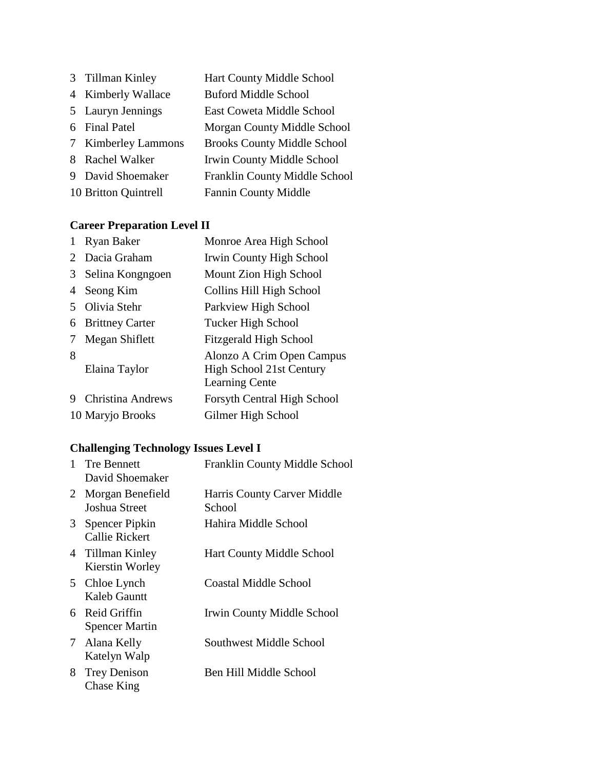Tillman Kinley Hart County Middle School Kimberly Wallace Buford Middle School Lauryn Jennings East Coweta Middle School Final Patel Morgan County Middle School Kimberley Lammons Brooks County Middle School Rachel Walker Irwin County Middle School David Shoemaker Franklin County Middle School Britton Quintrell Fannin County Middle

#### **Career Preparation Level II**

|                             | <b>Ryan Baker</b>        | Monroe Area High School                                                        |
|-----------------------------|--------------------------|--------------------------------------------------------------------------------|
| $\mathcal{D}_{\mathcal{L}}$ | Dacia Graham             | Irwin County High School                                                       |
| 3                           | Selina Kongngoen         | Mount Zion High School                                                         |
| 4                           | Seong Kim                | Collins Hill High School                                                       |
|                             | Olivia Stehr             | Parkview High School                                                           |
| 6                           | <b>Brittney Carter</b>   | Tucker High School                                                             |
|                             | Megan Shiflett           | <b>Fitzgerald High School</b>                                                  |
| 8                           | Elaina Taylor            | Alonzo A Crim Open Campus<br>High School 21st Century<br><b>Learning Cente</b> |
|                             | <b>Christina Andrews</b> | <b>Forsyth Central High School</b>                                             |
|                             | 10 Maryjo Brooks         | Gilmer High School                                                             |

#### **Challenging Technology Issues Level I**

| $\mathbf{1}$ | <b>Tre Bennett</b><br>David Shoemaker    | Franklin County Middle School         |
|--------------|------------------------------------------|---------------------------------------|
| 2            | Morgan Benefield<br>Joshua Street        | Harris County Carver Middle<br>School |
| 3            | Spencer Pipkin<br>Callie Rickert         | Hahira Middle School                  |
|              | 4 Tillman Kinley<br>Kierstin Worley      | <b>Hart County Middle School</b>      |
| 5            | Chloe Lynch<br>Kaleb Gauntt              | Coastal Middle School                 |
|              | 6 Reid Griffin<br><b>Spencer Martin</b>  | Irwin County Middle School            |
| 7            | Alana Kelly<br>Katelyn Walp              | Southwest Middle School               |
| 8.           | <b>Trey Denison</b><br><b>Chase King</b> | Ben Hill Middle School                |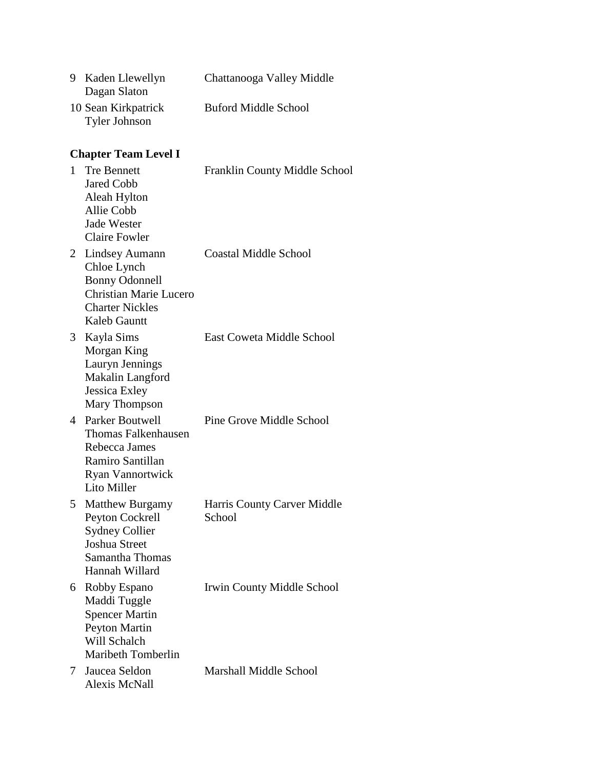| 9 Kaden Llewellyn<br>Dagan Slaton           | Chattanooga Valley Middle   |
|---------------------------------------------|-----------------------------|
| 10 Sean Kirkpatrick<br><b>Tyler Johnson</b> | <b>Buford Middle School</b> |

# **Chapter Team Level I**

| $\mathbf{1}$ | <b>Tre Bennett</b><br><b>Jared Cobb</b><br>Aleah Hylton<br><b>Allie Cobb</b><br><b>Jade Wester</b><br><b>Claire Fowler</b>        | Franklin County Middle School         |
|--------------|-----------------------------------------------------------------------------------------------------------------------------------|---------------------------------------|
| 2            | Lindsey Aumann<br>Chloe Lynch<br><b>Bonny Odonnell</b><br><b>Christian Marie Lucero</b><br><b>Charter Nickles</b><br>Kaleb Gauntt | <b>Coastal Middle School</b>          |
| 3            | Kayla Sims<br>Morgan King<br>Lauryn Jennings<br>Makalin Langford<br>Jessica Exley<br>Mary Thompson                                | East Coweta Middle School             |
|              | 4 Parker Boutwell<br>Thomas Falkenhausen<br>Rebecca James<br>Ramiro Santillan<br>Ryan Vannortwick<br>Lito Miller                  | Pine Grove Middle School              |
| 5            | <b>Matthew Burgamy</b><br>Peyton Cockrell<br><b>Sydney Collier</b><br>Joshua Street<br>Samantha Thomas<br>Hannah Willard          | Harris County Carver Middle<br>School |
|              | 6 Robby Espano<br>Maddi Tuggle<br><b>Spencer Martin</b><br><b>Peyton Martin</b><br>Will Schalch<br>Maribeth Tomberlin             | <b>Irwin County Middle School</b>     |
| 7            | Jaucea Seldon<br><b>Alexis McNall</b>                                                                                             | <b>Marshall Middle School</b>         |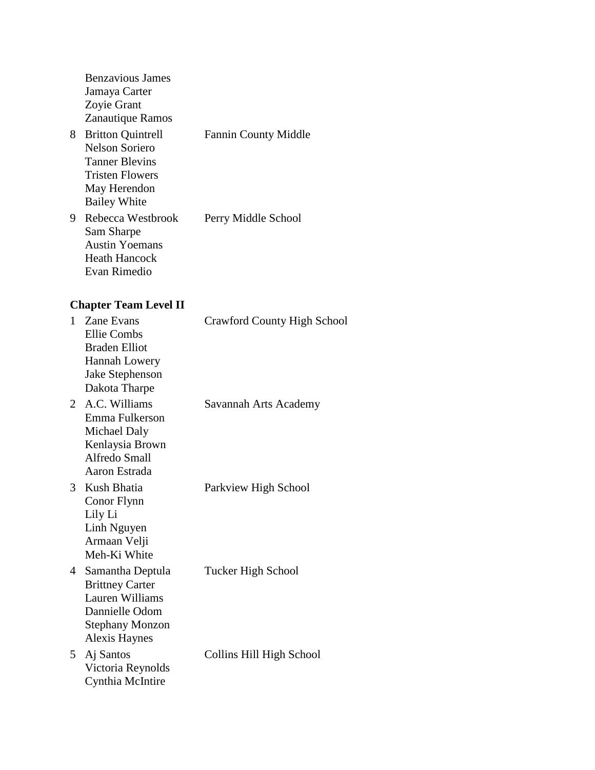| <b>Benzavious James</b>  |                             |
|--------------------------|-----------------------------|
| Jamaya Carter            |                             |
| Zoyie Grant              |                             |
| Zanautique Ramos         |                             |
| <b>Britton Quintrell</b> | <b>Fannin County Middle</b> |
| Nelson Soriero           |                             |
| <b>Tanner Blevins</b>    |                             |
| Tristen Flowers          |                             |
| May Herendon             |                             |
| <b>Bailey White</b>      |                             |
| Rebecca Westbrook        | Perry Middle School         |
| Sam Sharpe               |                             |
| <b>Austin Yoemans</b>    |                             |
| <b>Heath Hancock</b>     |                             |
| Evan Rimedio             |                             |
|                          |                             |
|                          |                             |

# **Chapter Team Level II**

| 1 | Zane Evans<br><b>Ellie Combs</b><br><b>Braden Elliot</b><br>Hannah Lowery<br>Jake Stephenson<br>Dakota Tharpe                     | <b>Crawford County High School</b> |
|---|-----------------------------------------------------------------------------------------------------------------------------------|------------------------------------|
|   | 2 A.C. Williams<br>Emma Fulkerson<br>Michael Daly<br>Kenlaysia Brown<br>Alfredo Small<br>Aaron Estrada                            | Savannah Arts Academy              |
|   | 3 Kush Bhatia<br>Conor Flynn<br>Lily Li<br>Linh Nguyen<br>Armaan Velji<br>Meh-Ki White                                            | Parkview High School               |
| 4 | Samantha Deptula<br><b>Brittney Carter</b><br>Lauren Williams<br>Dannielle Odom<br><b>Stephany Monzon</b><br><b>Alexis Haynes</b> | Tucker High School                 |
| 5 | Aj Santos<br>Victoria Reynolds<br>Cynthia McIntire                                                                                | Collins Hill High School           |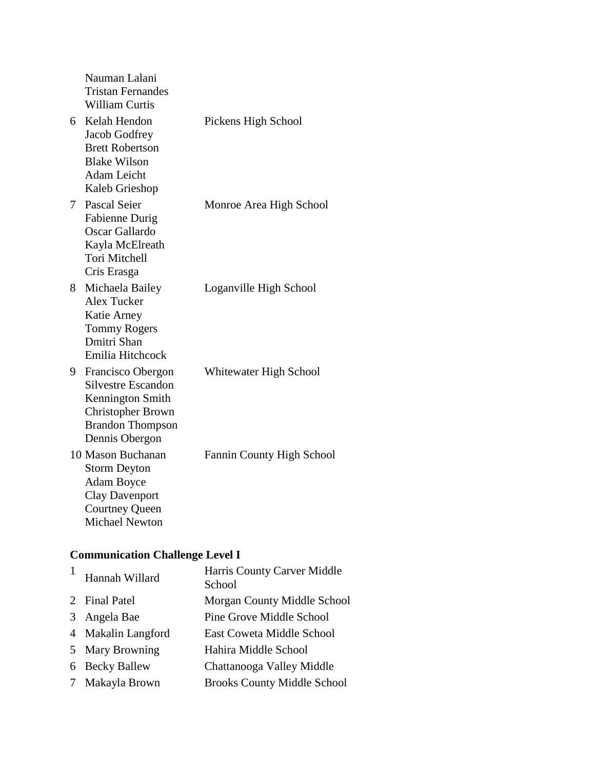|    | Nauman Lalani<br><b>Tristan Fernandes</b><br><b>William Curtis</b>                                                                       |                           |
|----|------------------------------------------------------------------------------------------------------------------------------------------|---------------------------|
| 6  | Kelah Hendon<br>Jacob Godfrey<br><b>Brett Robertson</b><br><b>Blake Wilson</b><br><b>Adam Leicht</b><br>Kaleb Grieshop                   | Pickens High School       |
| 7  | Pascal Seier<br><b>Fabienne Durig</b><br>Oscar Gallardo<br>Kayla McElreath<br><b>Tori Mitchell</b><br>Cris Erasga                        | Monroe Area High School   |
| 8  | Michaela Bailey<br><b>Alex Tucker</b><br>Katie Arney<br><b>Tommy Rogers</b><br>Dmitri Shan<br>Emilia Hitchcock                           | Loganville High School    |
| 9. | Francisco Obergon<br>Silvestre Escandon<br>Kennington Smith<br><b>Christopher Brown</b><br><b>Brandon Thompson</b><br>Dennis Obergon     | Whitewater High School    |
|    | 10 Mason Buchanan<br><b>Storm Deyton</b><br><b>Adam Boyce</b><br><b>Clay Davenport</b><br><b>Courtney Queen</b><br><b>Michael Newton</b> | Fannin County High School |

# **Communication Challenge Level I**

| Hannah Willard     | Harris County Carver Middle<br>School |
|--------------------|---------------------------------------|
| 2 Final Patel      | Morgan County Middle School           |
| 3 Angela Bae       | Pine Grove Middle School              |
| 4 Makalin Langford | East Coweta Middle School             |
| 5 Mary Browning    | Hahira Middle School                  |
| 6 Becky Ballew     | Chattanooga Valley Middle             |
| 7 Makayla Brown    | <b>Brooks County Middle School</b>    |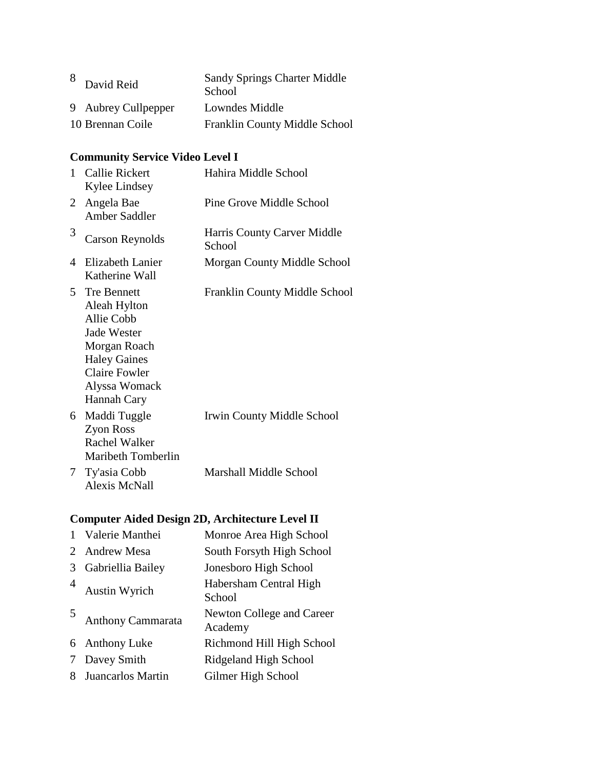| David Reid          | <b>Sandy Springs Charter Middle</b><br>School |
|---------------------|-----------------------------------------------|
| 9 Aubrey Cullpepper | Lowndes Middle                                |
| 10 Brennan Coile    | Franklin County Middle School                 |

# **Community Service Video Level I**

| $\mathbf{1}$   | <b>Callie Rickert</b><br>Kylee Lindsey                                                                                                                         | Hahira Middle School                  |
|----------------|----------------------------------------------------------------------------------------------------------------------------------------------------------------|---------------------------------------|
| $\overline{2}$ | Angela Bae<br><b>Amber Saddler</b>                                                                                                                             | Pine Grove Middle School              |
| 3              | <b>Carson Reynolds</b>                                                                                                                                         | Harris County Carver Middle<br>School |
| 4              | Elizabeth Lanier<br>Katherine Wall                                                                                                                             | Morgan County Middle School           |
| 5              | <b>Tre Bennett</b><br>Aleah Hylton<br>Allie Cobb<br>Jade Wester<br>Morgan Roach<br><b>Haley Gaines</b><br><b>Claire Fowler</b><br>Alyssa Womack<br>Hannah Cary | Franklin County Middle School         |
| 6              | Maddi Tuggle<br>Zyon Ross<br>Rachel Walker<br>Maribeth Tomberlin                                                                                               | Irwin County Middle School            |
| 7              | Ty'asia Cobb<br><b>Alexis McNall</b>                                                                                                                           | <b>Marshall Middle School</b>         |

# **Computer Aided Design 2D, Architecture Level II**

|   | Valerie Manthei    | Monroe Area High School              |
|---|--------------------|--------------------------------------|
| 2 | <b>Andrew Mesa</b> | South Forsyth High School            |
| 3 | Gabriellia Bailey  | Jonesboro High School                |
| 4 | Austin Wyrich      | Habersham Central High<br>School     |
| 5 | Anthony Cammarata  | Newton College and Career<br>Academy |
|   | 6 Anthony Luke     | Richmond Hill High School            |
| 7 | Davey Smith        | Ridgeland High School                |
| 8 | Juancarlos Martin  | Gilmer High School                   |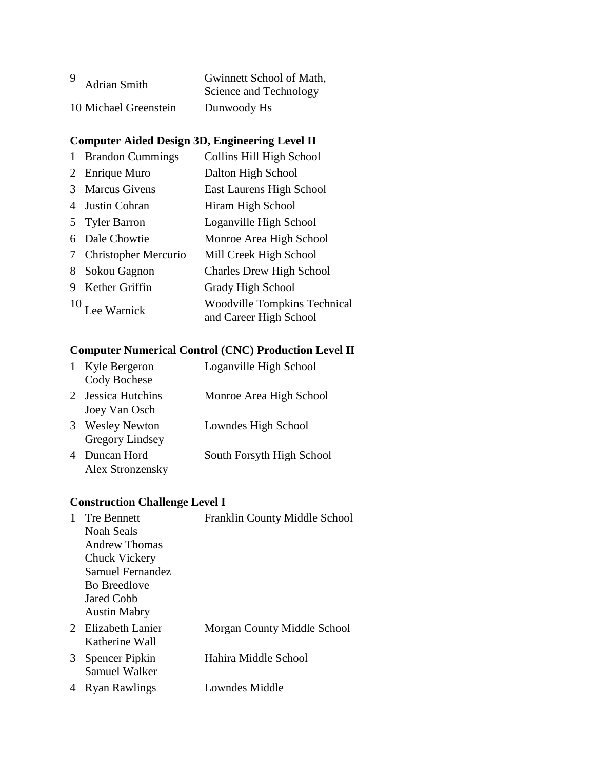| 9                     | Gwinnett School of Math, |
|-----------------------|--------------------------|
| <b>Adrian Smith</b>   | Science and Technology   |
| 10 Michael Greenstein | Dunwoody Hs              |

#### **Computer Aided Design 3D, Engineering Level II**

 Brandon Cummings Collins Hill High School 2 Enrique Muro Dalton High School Marcus Givens East Laurens High School 4 Justin Cohran Hiram High School Tyler Barron Loganville High School Dale Chowtie Monroe Area High School Christopher Mercurio Mill Creek High School Sokou Gagnon Charles Drew High School Kether Griffin Grady High School 10<br>Lee Warnick Woodville Tompkins Technical<br> $\frac{10}{2}$  Lee Warnick and Career High School

#### **Computer Numerical Control (CNC) Production Level II**

|   | Kyle Bergeron<br>Cody Bochese                  | Loganville High School    |
|---|------------------------------------------------|---------------------------|
|   | 2 Jessica Hutchins<br>Joey Van Osch            | Monroe Area High School   |
| 3 | <b>Wesley Newton</b><br><b>Gregory Lindsey</b> | Lowndes High School       |
| 4 | Duncan Hord<br>Alex Stronzensky                | South Forsyth High School |

#### **Construction Challenge Level I**

|   | <b>Tre Bennett</b><br>Noah Seals<br>Andrew Thomas<br>Chuck Vickery<br>Samuel Fernandez<br><b>Bo Breedlove</b><br>Jared Cobb<br><b>Austin Mabry</b> | Franklin County Middle School |
|---|----------------------------------------------------------------------------------------------------------------------------------------------------|-------------------------------|
|   | 2 Elizabeth Lanier<br>Katherine Wall                                                                                                               | Morgan County Middle School   |
| 3 | Spencer Pipkin<br>Samuel Walker                                                                                                                    | Hahira Middle School          |
| 4 | <b>Ryan Rawlings</b>                                                                                                                               | Lowndes Middle                |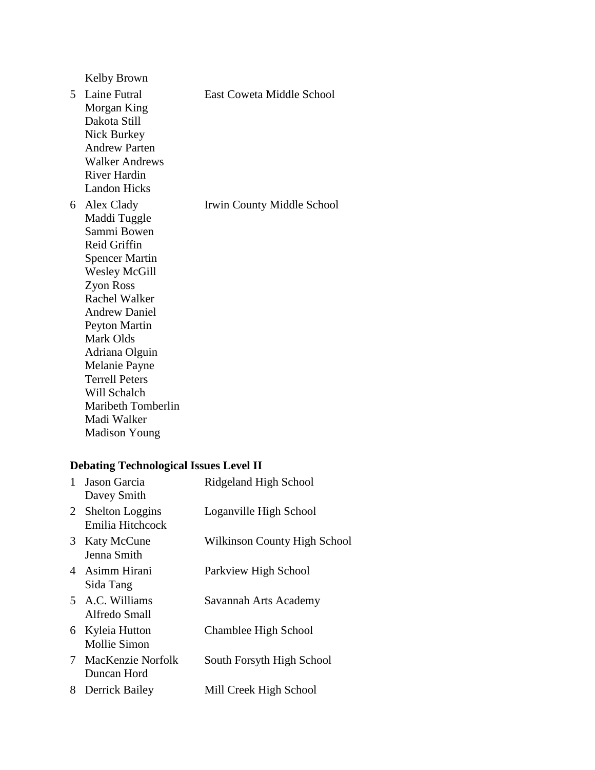Kelby Brown

|   | 5 Laine Futral<br>Morgan King<br>Dakota Still<br>Nick Burkey<br><b>Andrew Parten</b><br><b>Walker Andrews</b><br>River Hardin<br><b>Landon Hicks</b>                                                                                                                                                                                                  | East Coweta Middle School  |
|---|-------------------------------------------------------------------------------------------------------------------------------------------------------------------------------------------------------------------------------------------------------------------------------------------------------------------------------------------------------|----------------------------|
| 6 | Alex Clady<br>Maddi Tuggle<br>Sammi Bowen<br>Reid Griffin<br><b>Spencer Martin</b><br><b>Wesley McGill</b><br>Zyon Ross<br><b>Rachel Walker</b><br><b>Andrew Daniel</b><br><b>Peyton Martin</b><br>Mark Olds<br>Adriana Olguin<br>Melanie Payne<br><b>Terrell Peters</b><br>Will Schalch<br>Maribeth Tomberlin<br>Madi Walker<br><b>Madison Young</b> | Irwin County Middle School |

# **Debating Technological Issues Level II**

| $\mathbf{1}$ | Jason Garcia<br>Davey Smith                | Ridgeland High School        |
|--------------|--------------------------------------------|------------------------------|
| 2            | <b>Shelton Loggins</b><br>Emilia Hitchcock | Loganville High School       |
| 3            | <b>Katy McCune</b><br>Jenna Smith          | Wilkinson County High School |
|              | 4 Asimm Hirani<br>Sida Tang                | Parkview High School         |
|              | 5 A.C. Williams<br>Alfredo Small           | Savannah Arts Academy        |
|              | 6 Kyleia Hutton<br><b>Mollie Simon</b>     | Chamblee High School         |
|              | 7 MacKenzie Norfolk<br>Duncan Hord         | South Forsyth High School    |
| 8            | Derrick Bailey                             | Mill Creek High School       |
|              |                                            |                              |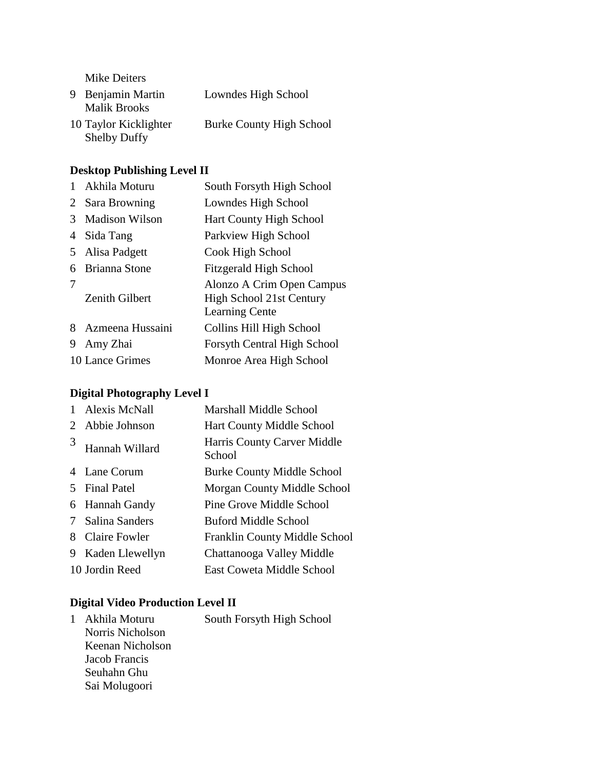Mike Deiters

| 9 Benjamin Martin<br><b>Malik Brooks</b>     | Lowndes High School             |
|----------------------------------------------|---------------------------------|
| 10 Taylor Kicklighter<br><b>Shelby Duffy</b> | <b>Burke County High School</b> |

# **Desktop Publishing Level II**

| Akhila Moturu         | South Forsyth High School                                                      |
|-----------------------|--------------------------------------------------------------------------------|
| Sara Browning         | Lowndes High School                                                            |
| <b>Madison Wilson</b> | <b>Hart County High School</b>                                                 |
| Sida Tang             | Parkview High School                                                           |
| Alisa Padgett         | Cook High School                                                               |
| Brianna Stone         | <b>Fitzgerald High School</b>                                                  |
| <b>Zenith Gilbert</b> | Alonzo A Crim Open Campus<br>High School 21st Century<br><b>Learning Cente</b> |
| Azmeena Hussaini      | Collins Hill High School                                                       |
| Amy Zhai              | Forsyth Central High School                                                    |
| 10 Lance Grimes       | Monroe Area High School                                                        |
|                       |                                                                                |

# **Digital Photography Level I**

|                       | <b>Alexis McNall</b> | <b>Marshall Middle School</b>         |
|-----------------------|----------------------|---------------------------------------|
| $\mathcal{D}_{\cdot}$ | Abbie Johnson        | <b>Hart County Middle School</b>      |
| 3                     | Hannah Willard       | Harris County Carver Middle<br>School |
|                       | 4 Lane Corum         | <b>Burke County Middle School</b>     |
| $\overline{5}$        | <b>Final Patel</b>   | Morgan County Middle School           |
|                       | 6 Hannah Gandy       | Pine Grove Middle School              |
| 7                     | Salina Sanders       | Buford Middle School                  |
| 8                     | <b>Claire Fowler</b> | Franklin County Middle School         |
| 9                     | Kaden Llewellyn      | Chattanooga Valley Middle             |
|                       | 10 Jordin Reed       | <b>East Coweta Middle School</b>      |

# **Digital Video Production Level II**

| 1. | Akhila Moturu    | South Forsyth High School |
|----|------------------|---------------------------|
|    | Norris Nicholson |                           |
|    | Keenan Nicholson |                           |
|    | Jacob Francis    |                           |
|    | Seuhahn Ghu      |                           |
|    | Sai Molugoori    |                           |
|    |                  |                           |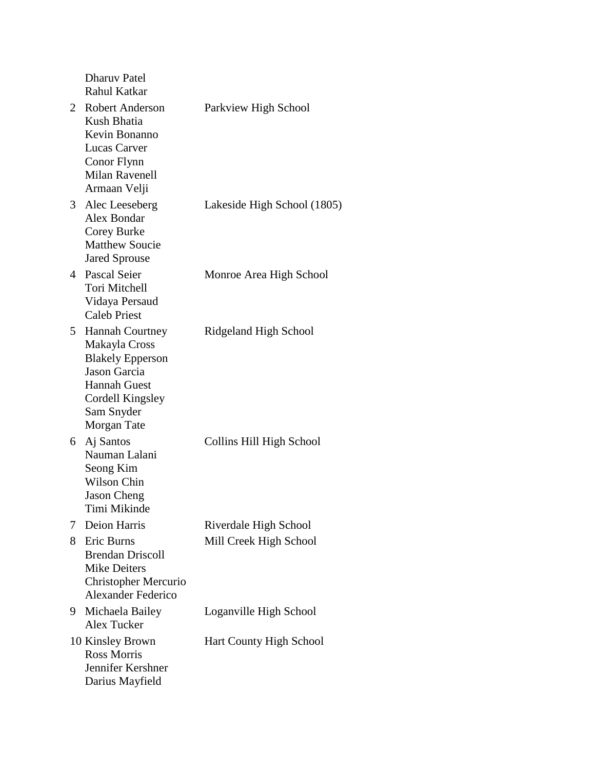|    | <b>Dharuv Patel</b><br>Rahul Katkar                                                                                                                        |                                |
|----|------------------------------------------------------------------------------------------------------------------------------------------------------------|--------------------------------|
| 2  | Robert Anderson<br>Kush Bhatia<br>Kevin Bonanno<br><b>Lucas Carver</b><br>Conor Flynn<br><b>Milan Ravenell</b><br>Armaan Velji                             | Parkview High School           |
| 3  | Alec Leeseberg<br>Alex Bondar<br>Corey Burke<br><b>Matthew Soucie</b><br><b>Jared Sprouse</b>                                                              | Lakeside High School (1805)    |
|    | 4 Pascal Seier<br><b>Tori Mitchell</b><br>Vidaya Persaud<br><b>Caleb Priest</b>                                                                            | Monroe Area High School        |
| 5  | <b>Hannah Courtney</b><br>Makayla Cross<br><b>Blakely Epperson</b><br>Jason Garcia<br><b>Hannah Guest</b><br>Cordell Kingsley<br>Sam Snyder<br>Morgan Tate | Ridgeland High School          |
| 6  | Aj Santos<br>Nauman Lalani<br>Seong Kim<br>Wilson Chin<br><b>Jason Cheng</b><br>Timi Mikinde                                                               | Collins Hill High School       |
| 7  | Deion Harris                                                                                                                                               | Riverdale High School          |
| 8  | Eric Burns<br><b>Brendan Driscoll</b><br><b>Mike Deiters</b><br><b>Christopher Mercurio</b><br>Alexander Federico                                          | Mill Creek High School         |
| 9. | Michaela Bailey<br><b>Alex Tucker</b>                                                                                                                      | Loganville High School         |
|    | 10 Kinsley Brown<br><b>Ross Morris</b><br>Jennifer Kershner<br>Darius Mayfield                                                                             | <b>Hart County High School</b> |
|    |                                                                                                                                                            |                                |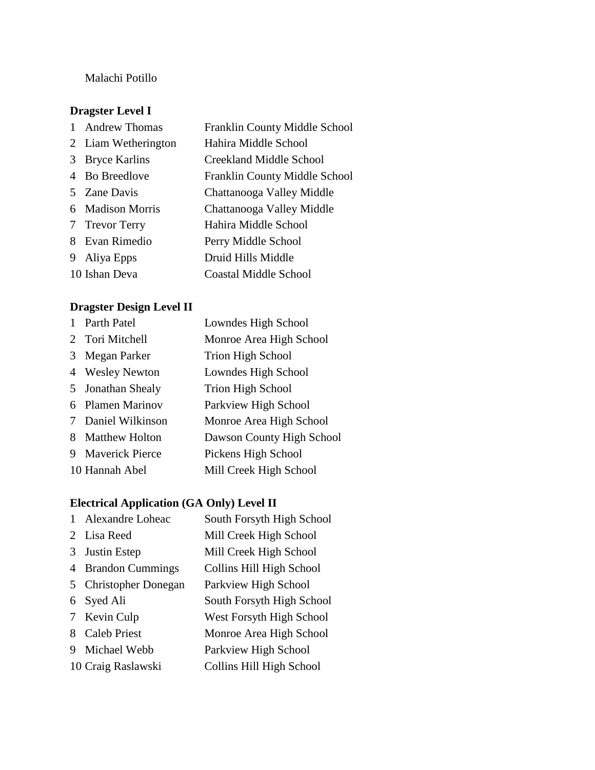#### Malachi Potillo

#### **Dragster Level I**

|   | <b>Andrew Thomas</b> | Franklin County Middle School        |
|---|----------------------|--------------------------------------|
|   | 2 Liam Wetherington  | Hahira Middle School                 |
| 3 | <b>Bryce Karlins</b> | Creekland Middle School              |
|   | 4 Bo Breedlove       | <b>Franklin County Middle School</b> |
|   | 5 Zane Davis         | Chattanooga Valley Middle            |
|   | 6 Madison Morris     | Chattanooga Valley Middle            |
|   | 7 Trevor Terry       | Hahira Middle School                 |
| 8 | Evan Rimedio         | Perry Middle School                  |
| 9 | Aliya Epps           | Druid Hills Middle                   |
|   | 10 Ishan Deva        | Coastal Middle School                |

#### **Dragster Design Level II**

|   | <b>Parth Patel</b>     | Lowndes High School       |
|---|------------------------|---------------------------|
|   | 2 Tori Mitchell        | Monroe Area High School   |
| 3 | Megan Parker           | Trion High School         |
|   | 4 Wesley Newton        | Lowndes High School       |
|   | 5 Jonathan Shealy      | <b>Trion High School</b>  |
|   | 6 Plamen Marinov       | Parkview High School      |
|   | 7 Daniel Wilkinson     | Monroe Area High School   |
| 8 | <b>Matthew Holton</b>  | Dawson County High School |
| 9 | <b>Maverick Pierce</b> | Pickens High School       |
|   | 10 Hannah Abel         | Mill Creek High School    |

#### **Electrical Application (GA Only) Level II**

 Alexandre Loheac South Forsyth High School Lisa Reed Mill Creek High School Justin Estep Mill Creek High School Brandon Cummings Collins Hill High School Christopher Donegan Parkview High School Syed Ali South Forsyth High School Kevin Culp West Forsyth High School Caleb Priest Monroe Area High School Michael Webb Parkview High School Craig Raslawski Collins Hill High School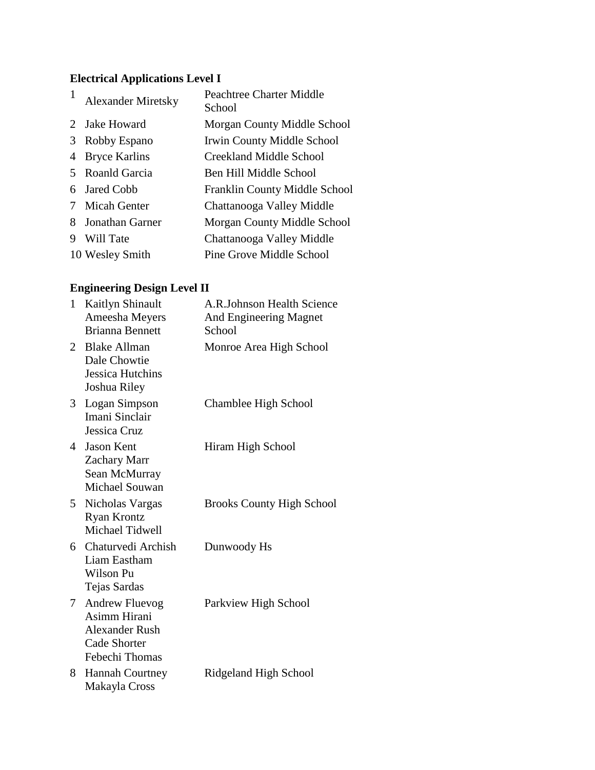# **Electrical Applications Level I**

| 1 | <b>Alexander Miretsky</b> | <b>Peachtree Charter Middle</b><br>School |
|---|---------------------------|-------------------------------------------|
|   | 2 Jake Howard             | Morgan County Middle School               |
| 3 | Robby Espano              | Irwin County Middle School                |
| 4 | <b>Bryce Karlins</b>      | Creekland Middle School                   |
| 5 | Roanld Garcia             | Ben Hill Middle School                    |
| 6 | Jared Cobb                | Franklin County Middle School             |
|   | Micah Genter              | Chattanooga Valley Middle                 |
| 8 | Jonathan Garner           | Morgan County Middle School               |
| 9 | Will Tate                 | Chattanooga Valley Middle                 |
|   | 10 Wesley Smith           | Pine Grove Middle School                  |

# **Engineering Design Level II**

| $\mathbf{1}$   | Kaitlyn Shinault<br>Ameesha Meyers<br><b>Brianna Bennett</b>                                            | A.R.Johnson Health Science<br>And Engineering Magnet<br>School |
|----------------|---------------------------------------------------------------------------------------------------------|----------------------------------------------------------------|
| 2              | <b>Blake Allman</b><br>Dale Chowtie<br>Jessica Hutchins<br>Joshua Riley                                 | Monroe Area High School                                        |
| 3 <sup>1</sup> | Logan Simpson<br>Imani Sinclair<br>Jessica Cruz                                                         | Chamblee High School                                           |
| 4              | <b>Jason Kent</b><br><b>Zachary Marr</b><br>Sean McMurray<br>Michael Souwan                             | Hiram High School                                              |
| 5              | Nicholas Vargas<br><b>Ryan Krontz</b><br>Michael Tidwell                                                | <b>Brooks County High School</b>                               |
|                | 6 Chaturvedi Archish<br>Liam Eastham<br>Wilson Pu<br>Tejas Sardas                                       | Dunwoody Hs                                                    |
| 7              | <b>Andrew Fluevog</b><br>Asimm Hirani<br><b>Alexander Rush</b><br><b>Cade Shorter</b><br>Febechi Thomas | Parkview High School                                           |
| 8              | <b>Hannah Courtney</b><br>Makayla Cross                                                                 | Ridgeland High School                                          |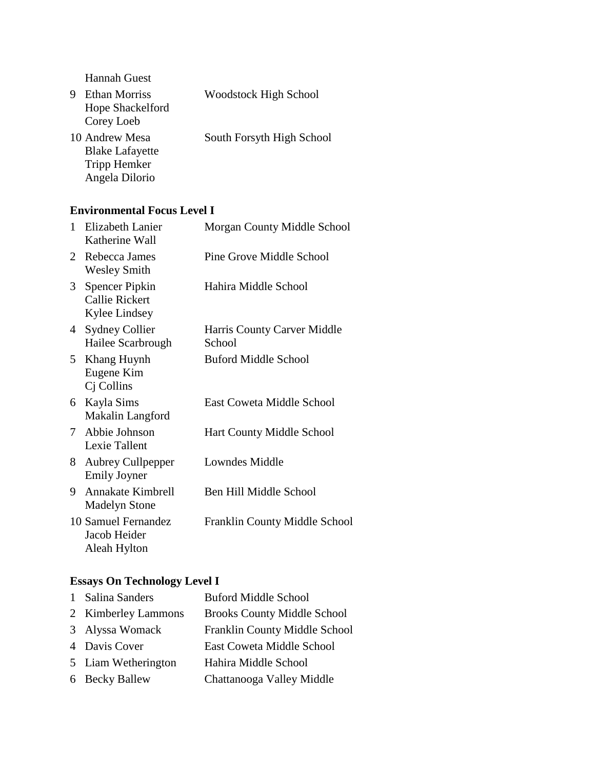Hannah Guest

| 9 | <b>Ethan Morriss</b>   | <b>Woodstock High School</b> |
|---|------------------------|------------------------------|
|   | Hope Shackelford       |                              |
|   | Corey Loeb             |                              |
|   | 10 Andrew Mesa         | South Forsyth High School    |
|   | <b>Blake Lafayette</b> |                              |
|   | Tripp Hemker           |                              |
|   | Angela Dilorio         |                              |

#### **Environmental Focus Level I**

| 1              | Elizabeth Lanier<br>Katherine Wall                       | Morgan County Middle School           |
|----------------|----------------------------------------------------------|---------------------------------------|
| 2              | Rebecca James<br><b>Wesley Smith</b>                     | Pine Grove Middle School              |
| 3              | Spencer Pipkin<br><b>Callie Rickert</b><br>Kylee Lindsey | Hahira Middle School                  |
| $\overline{4}$ | <b>Sydney Collier</b><br>Hailee Scarbrough               | Harris County Carver Middle<br>School |
| 5 <sup>5</sup> | Khang Huynh<br>Eugene Kim<br>Cj Collins                  | Buford Middle School                  |
| 6              | Kayla Sims<br>Makalin Langford                           | East Coweta Middle School             |
| 7              | Abbie Johnson<br>Lexie Tallent                           | Hart County Middle School             |
| 8.             | <b>Aubrey Cullpepper</b><br><b>Emily Joyner</b>          | Lowndes Middle                        |
| 9              | Annakate Kimbrell<br><b>Madelyn Stone</b>                | Ben Hill Middle School                |
|                | 10 Samuel Fernandez<br>Jacob Heider<br>Aleah Hylton      | <b>Franklin County Middle School</b>  |

# **Essays On Technology Level I**

| 1 Salina Sanders    | <b>Buford Middle School</b>        |
|---------------------|------------------------------------|
| 2 Kimberley Lammons | <b>Brooks County Middle School</b> |
| 3 Alyssa Womack     | Franklin County Middle School      |
| 4 Davis Cover       | East Coweta Middle School          |
| 5 Liam Wetherington | Hahira Middle School               |
| 6 Becky Ballew      | Chattanooga Valley Middle          |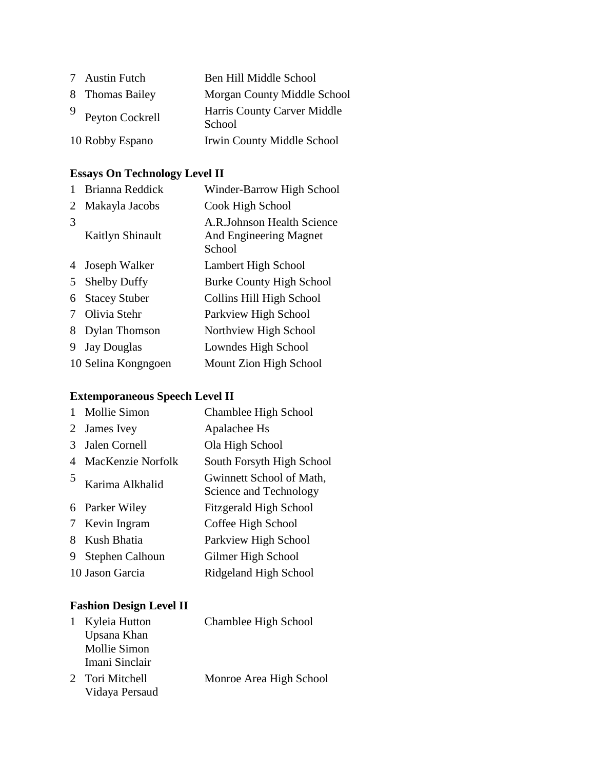| 7 Austin Futch    | Ben Hill Middle School                |
|-------------------|---------------------------------------|
| 8 Thomas Bailey   | Morgan County Middle School           |
| 9 Peyton Cockrell | Harris County Carver Middle<br>School |
| 10 Robby Espano   | Irwin County Middle School            |

# **Essays On Technology Level II**

|   | Brianna Reddick      | Winder-Barrow High School                                      |
|---|----------------------|----------------------------------------------------------------|
| 2 | Makayla Jacobs       | Cook High School                                               |
| 3 | Kaitlyn Shinault     | A.R.Johnson Health Science<br>And Engineering Magnet<br>School |
| 4 | Joseph Walker        | Lambert High School                                            |
| 5 | <b>Shelby Duffy</b>  | Burke County High School                                       |
| 6 | <b>Stacey Stuber</b> | Collins Hill High School                                       |
| 7 | Olivia Stehr         | Parkview High School                                           |
| 8 | <b>Dylan Thomson</b> | Northview High School                                          |
| 9 | <b>Jay Douglas</b>   | Lowndes High School                                            |
|   | 10 Selina Kongngoen  | Mount Zion High School                                         |

# **Extemporaneous Speech Level II**

|   | Mollie Simon           | Chamblee High School                               |
|---|------------------------|----------------------------------------------------|
| 2 | James Ivey             | Apalachee Hs                                       |
| 3 | Jalen Cornell          | Ola High School                                    |
| 4 | MacKenzie Norfolk      | South Forsyth High School                          |
| 5 | Karima Alkhalid        | Gwinnett School of Math,<br>Science and Technology |
| 6 | Parker Wiley           | <b>Fitzgerald High School</b>                      |
| 7 | Kevin Ingram           | Coffee High School                                 |
| 8 | Kush Bhatia            | Parkview High School                               |
| 9 | <b>Stephen Calhoun</b> | Gilmer High School                                 |
|   | 10 Jason Garcia        | Ridgeland High School                              |

### **Fashion Design Level II**

| 1 Kyleia Hutton | Chamblee High School    |
|-----------------|-------------------------|
| Upsana Khan     |                         |
| Mollie Simon    |                         |
| Imani Sinclair  |                         |
| 2 Tori Mitchell | Monroe Area High School |
| Vidaya Persaud  |                         |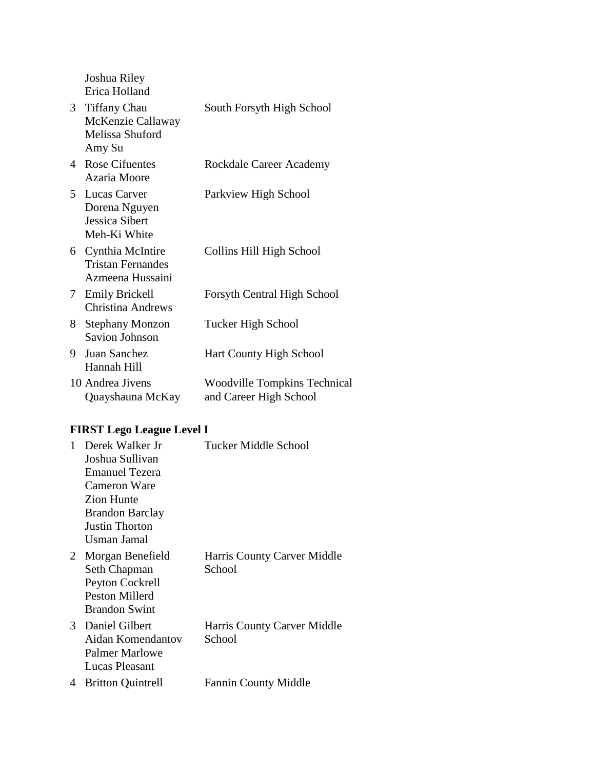Joshua Riley Erica Holland

|    | 3 Tiffany Chau<br>McKenzie Callaway<br>Melissa Shuford<br>Amy Su   | South Forsyth High School                                     |
|----|--------------------------------------------------------------------|---------------------------------------------------------------|
| 4  | <b>Rose Cifuentes</b><br>Azaria Moore                              | Rockdale Career Academy                                       |
|    | 5 Lucas Carver<br>Dorena Nguyen<br>Jessica Sibert<br>Meh-Ki White  | Parkview High School                                          |
|    | 6 Cynthia McIntire<br><b>Tristan Fernandes</b><br>Azmeena Hussaini | Collins Hill High School                                      |
| 7  | <b>Emily Brickell</b><br><b>Christina Andrews</b>                  | <b>Forsyth Central High School</b>                            |
| 8. | <b>Stephany Monzon</b><br><b>Savion Johnson</b>                    | Tucker High School                                            |
| 9  | Juan Sanchez<br>Hannah Hill                                        | Hart County High School                                       |
|    | 10 Andrea Jivens<br>Quayshauna McKay                               | <b>Woodville Tompkins Technical</b><br>and Career High School |

# **FIRST Lego League Level I**

| 1           | Derek Walker Jr<br>Joshua Sullivan<br><b>Emanuel Tezera</b><br>Cameron Ware<br>Zion Hunte<br><b>Brandon Barclay</b><br><b>Justin Thorton</b><br>Usman Jamal | Tucker Middle School                  |
|-------------|-------------------------------------------------------------------------------------------------------------------------------------------------------------|---------------------------------------|
| $2^{\circ}$ | Morgan Benefield<br>Seth Chapman<br>Peyton Cockrell<br>Peston Millerd<br><b>Brandon Swint</b>                                                               | Harris County Carver Middle<br>School |
|             | 3 Daniel Gilbert<br>Aidan Komendantov<br>Palmer Marlowe<br>Lucas Pleasant                                                                                   | Harris County Carver Middle<br>School |
| 4           | <b>Britton Quintrell</b>                                                                                                                                    | <b>Fannin County Middle</b>           |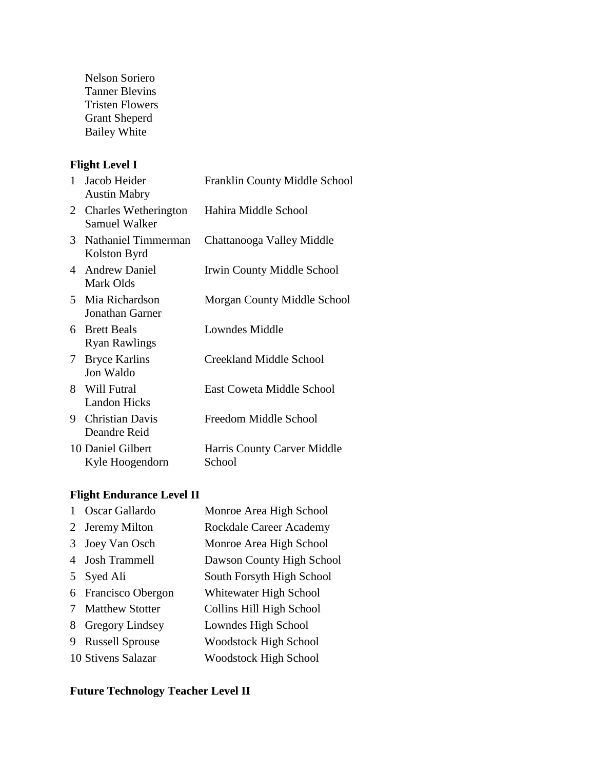Nelson Soriero Tanner Blevins Tristen Flowers Grant Sheperd Bailey White

### **Flight Level I**

| $\mathbf{1}$    | Jacob Heider<br><b>Austin Mabry</b>          | Franklin County Middle School         |
|-----------------|----------------------------------------------|---------------------------------------|
| $\mathbf{2}$    | Charles Wetherington<br><b>Samuel Walker</b> | Hahira Middle School                  |
| 3               | Nathaniel Timmerman<br>Kolston Byrd          | Chattanooga Valley Middle             |
| 4               | <b>Andrew Daniel</b><br>Mark Olds            | Irwin County Middle School            |
| 5.              | Mia Richardson<br><b>Jonathan Garner</b>     | Morgan County Middle School           |
| 6.              | <b>Brett Beals</b><br><b>Ryan Rawlings</b>   | Lowndes Middle                        |
| $7\phantom{.0}$ | <b>Bryce Karlins</b><br>Jon Waldo            | Creekland Middle School               |
| 8               | Will Futral<br><b>Landon Hicks</b>           | East Coweta Middle School             |
| 9.              | <b>Christian Davis</b><br>Deandre Reid       | Freedom Middle School                 |
|                 | 10 Daniel Gilbert<br>Kyle Hoogendorn         | Harris County Carver Middle<br>School |

# **Flight Endurance Level II**

|    | Oscar Gallardo         | Monroe Area High School      |
|----|------------------------|------------------------------|
| 2  | Jeremy Milton          | Rockdale Career Academy      |
| 3  | Joey Van Osch          | Monroe Area High School      |
| 4  | <b>Josh Trammell</b>   | Dawson County High School    |
| 5. | Syed Ali               | South Forsyth High School    |
|    | 6 Francisco Obergon    | Whitewater High School       |
|    | <b>Matthew Stotter</b> | Collins Hill High School     |
| 8  | <b>Gregory Lindsey</b> | Lowndes High School          |
| 9  | <b>Russell Sprouse</b> | <b>Woodstock High School</b> |
|    | 10 Stivens Salazar     | <b>Woodstock High School</b> |

### **Future Technology Teacher Level II**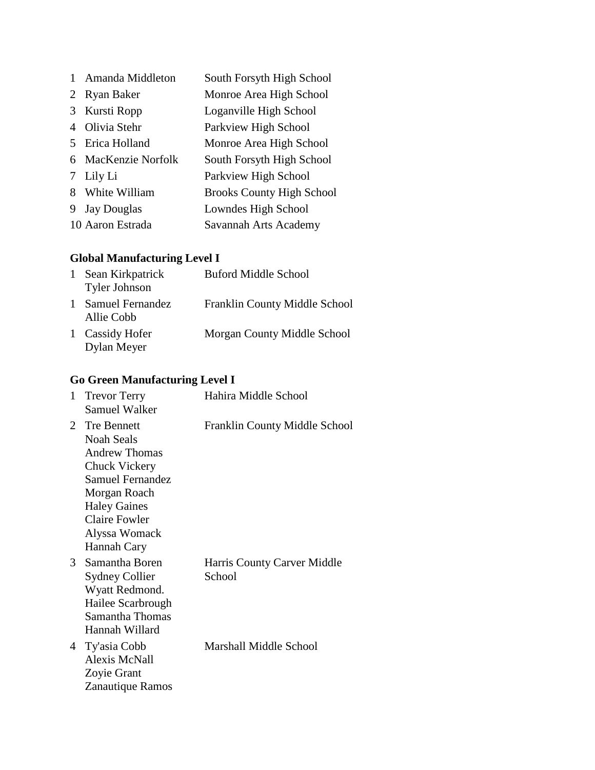|   | Amanda Middleton   | South Forsyth High School        |
|---|--------------------|----------------------------------|
| 2 | <b>Ryan Baker</b>  | Monroe Area High School          |
| 3 | Kursti Ropp        | Loganville High School           |
| 4 | Olivia Stehr       | Parkview High School             |
| 5 | Erica Holland      | Monroe Area High School          |
| 6 | MacKenzie Norfolk  | South Forsyth High School        |
| 7 | Lily Li            | Parkview High School             |
| 8 | White William      | <b>Brooks County High School</b> |
| 9 | <b>Jay Douglas</b> | Lowndes High School              |
|   | 10 Aaron Estrada   | Savannah Arts Academy            |

# **Global Manufacturing Level I**

| 1 | Sean Kirkpatrick<br><b>Tyler Johnson</b> | <b>Buford Middle School</b>   |
|---|------------------------------------------|-------------------------------|
| 1 | Samuel Fernandez<br>Allie Cobb           | Franklin County Middle School |
|   | 1 Cassidy Hofer<br>Dylan Meyer           | Morgan County Middle School   |

# **Go Green Manufacturing Level I**

| 1 | <b>Trevor Terry</b><br><b>Samuel Walker</b>                                                                                                                                                                | Hahira Middle School                  |
|---|------------------------------------------------------------------------------------------------------------------------------------------------------------------------------------------------------------|---------------------------------------|
| 2 | <b>Tre Bennett</b><br><b>Noah Seals</b><br><b>Andrew Thomas</b><br>Chuck Vickery<br><b>Samuel Fernandez</b><br>Morgan Roach<br><b>Haley Gaines</b><br><b>Claire Fowler</b><br>Alyssa Womack<br>Hannah Cary | Franklin County Middle School         |
| 3 | Samantha Boren<br><b>Sydney Collier</b><br>Wyatt Redmond.<br>Hailee Scarbrough<br>Samantha Thomas<br>Hannah Willard                                                                                        | Harris County Carver Middle<br>School |
| 4 | Ty'asia Cobb<br><b>Alexis McNall</b><br>Zoyie Grant<br>Zanautique Ramos                                                                                                                                    | Marshall Middle School                |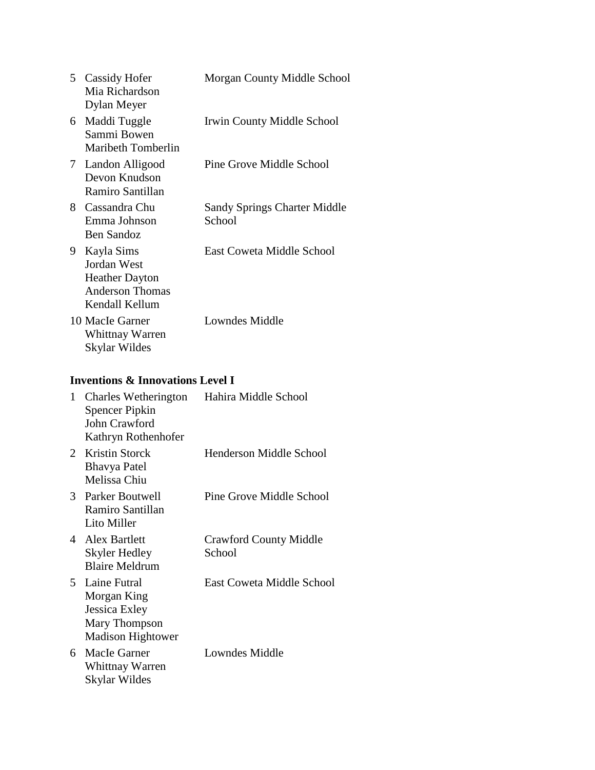|    | 5 Cassidy Hofer<br>Mia Richardson<br>Dylan Meyer                                               | Morgan County Middle School                   |
|----|------------------------------------------------------------------------------------------------|-----------------------------------------------|
| 6  | Maddi Tuggle<br>Sammi Bowen<br><b>Maribeth Tomberlin</b>                                       | Irwin County Middle School                    |
| 7  | Landon Alligood<br>Devon Knudson<br>Ramiro Santillan                                           | Pine Grove Middle School                      |
| 8  | Cassandra Chu<br>Emma Johnson<br><b>Ben Sandoz</b>                                             | <b>Sandy Springs Charter Middle</b><br>School |
| 9. | Kayla Sims<br>Jordan West<br><b>Heather Dayton</b><br><b>Anderson Thomas</b><br>Kendall Kellum | East Coweta Middle School                     |
|    | 10 MacIe Garner<br><b>Whittnay Warren</b><br>Skylar Wildes                                     | Lowndes Middle                                |
|    | <b>Inventions &amp; Innovations Level I</b>                                                    |                                               |
| 1  | Charles Wetherington<br><b>Spencer Pipkin</b><br>John Crawford<br>Kathryn Rothenhofer          | Hahira Middle School                          |
| 2  | Kristin Storck<br><b>Bhavya Patel</b><br>Melissa Chiu                                          | <b>Henderson Middle School</b>                |
| 3  | Parker Boutwell<br>Ramiro Santillan<br>Lito Miller                                             | Pine Grove Middle School                      |
| 4  | <b>Alex Bartlett</b><br><b>Skyler Hedley</b><br><b>Blaire Meldrum</b>                          | <b>Crawford County Middle</b><br>School       |
| 5  | Laine Futral<br>Morgan King<br>Jessica Exley<br>Mary Thompson                                  | East Coweta Middle School                     |

6 MacIe Garner Whittnay Warren Skylar Wildes Lowndes Middle

Madison Hightower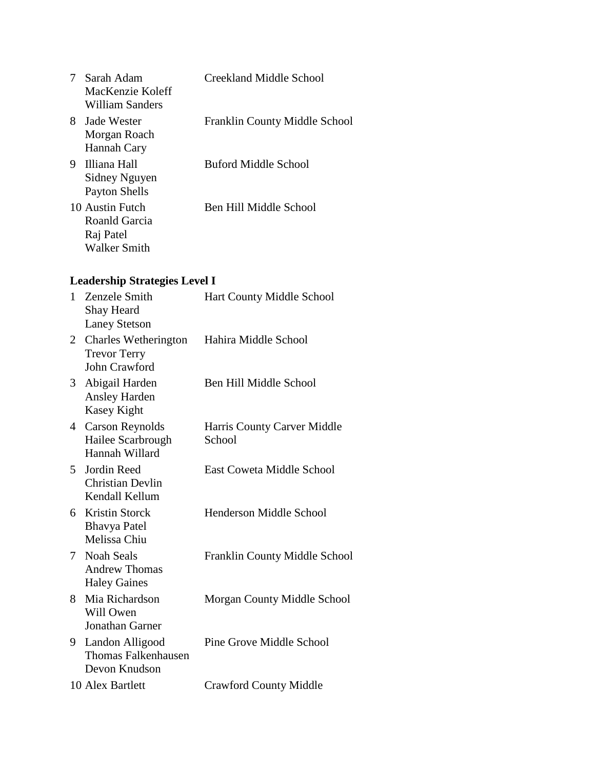|    | Sarah Adam<br>MacKenzie Koleff<br>William Sanders                    | Creekland Middle School       |
|----|----------------------------------------------------------------------|-------------------------------|
| 8. | Jade Wester<br>Morgan Roach<br>Hannah Cary                           | Franklin County Middle School |
| 9. | - Illiana Hall<br>Sidney Nguyen<br>Payton Shells                     | Buford Middle School          |
|    | 10 Austin Futch<br>Roanld Garcia<br>Raj Patel<br><b>Walker Smith</b> | Ben Hill Middle School        |

# **Leadership Strategies Level I**

| $\mathbf{1}$    | Zenzele Smith<br>Shay Heard<br><b>Laney Stetson</b>                 | Hart County Middle School             |
|-----------------|---------------------------------------------------------------------|---------------------------------------|
| 2               | Charles Wetherington<br><b>Trevor Terry</b><br><b>John Crawford</b> | Hahira Middle School                  |
| 3               | Abigail Harden<br><b>Ansley Harden</b><br>Kasey Kight               | Ben Hill Middle School                |
| 4               | <b>Carson Reynolds</b><br>Hailee Scarbrough<br>Hannah Willard       | Harris County Carver Middle<br>School |
| 5               | Jordin Reed<br><b>Christian Devlin</b><br>Kendall Kellum            | East Coweta Middle School             |
| 6               | <b>Kristin Storck</b><br><b>Bhavya Patel</b><br>Melissa Chiu        | Henderson Middle School               |
| $7\overline{ }$ | <b>Noah Seals</b><br><b>Andrew Thomas</b><br><b>Haley Gaines</b>    | Franklin County Middle School         |
| 8.              | Mia Richardson<br>Will Owen<br><b>Jonathan Garner</b>               | Morgan County Middle School           |
| 9               | Landon Alligood<br><b>Thomas Falkenhausen</b><br>Devon Knudson      | Pine Grove Middle School              |
|                 | 10 Alex Bartlett                                                    | <b>Crawford County Middle</b>         |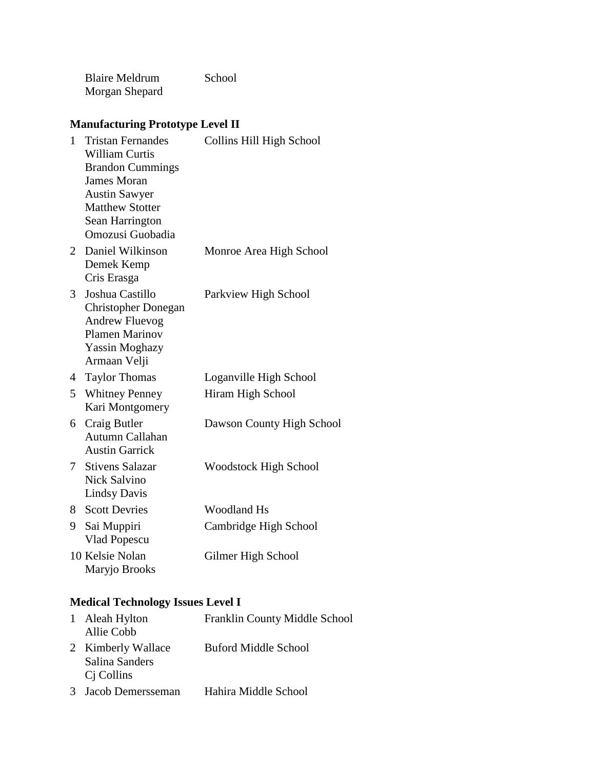Blaire Meldrum Morgan Shepard School

### **Manufacturing Prototype Level II**

| 1              | <b>Tristan Fernandes</b><br><b>William Curtis</b><br><b>Brandon Cummings</b><br><b>James Moran</b><br><b>Austin Sawyer</b><br><b>Matthew Stotter</b><br>Sean Harrington<br>Omozusi Guobadia | Collins Hill High School     |
|----------------|---------------------------------------------------------------------------------------------------------------------------------------------------------------------------------------------|------------------------------|
| $\overline{2}$ | Daniel Wilkinson<br>Demek Kemp<br>Cris Erasga                                                                                                                                               | Monroe Area High School      |
| 3              | Joshua Castillo<br><b>Christopher Donegan</b><br><b>Andrew Fluevog</b><br><b>Plamen Marinov</b><br><b>Yassin Moghazy</b><br>Armaan Velji                                                    | Parkview High School         |
| 4              | <b>Taylor Thomas</b>                                                                                                                                                                        | Loganville High School       |
| 5              | <b>Whitney Penney</b><br>Kari Montgomery                                                                                                                                                    | Hiram High School            |
| 6              | Craig Butler<br>Autumn Callahan<br><b>Austin Garrick</b>                                                                                                                                    | Dawson County High School    |
| 7              | <b>Stivens Salazar</b><br>Nick Salvino<br><b>Lindsy Davis</b>                                                                                                                               | <b>Woodstock High School</b> |
| 8              | <b>Scott Devries</b>                                                                                                                                                                        | <b>Woodland Hs</b>           |
| 9              | Sai Muppiri<br>Vlad Popescu                                                                                                                                                                 | Cambridge High School        |
|                | 10 Kelsie Nolan<br>Maryjo Brooks                                                                                                                                                            | Gilmer High School           |

# **Medical Technology Issues Level I**

| 1 Aleah Hylton<br>Allie Cobb                                   | Franklin County Middle School |
|----------------------------------------------------------------|-------------------------------|
| 2 Kimberly Wallace<br>Salina Sanders<br>C <sub>j</sub> Collins | <b>Buford Middle School</b>   |
| 3 Jacob Demersseman                                            | Hahira Middle School          |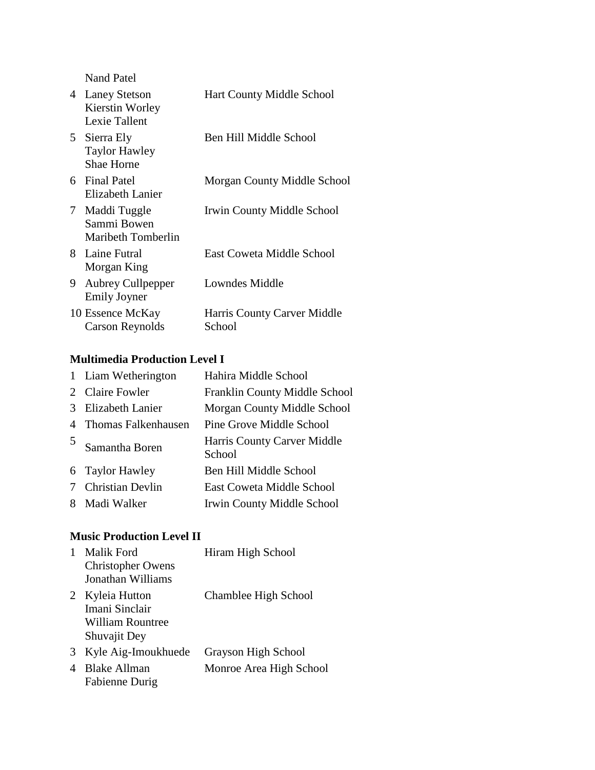Nand Patel

| 4  | <b>Laney Stetson</b><br>Kierstin Worley<br>Lexie Tallent | Hart County Middle School             |
|----|----------------------------------------------------------|---------------------------------------|
| 5  | Sierra Ely<br><b>Taylor Hawley</b><br><b>Shae Horne</b>  | Ben Hill Middle School                |
| 6. | <b>Final Patel</b><br>Elizabeth Lanier                   | <b>Morgan County Middle School</b>    |
| 7  | Maddi Tuggle<br>Sammi Bowen<br>Maribeth Tomberlin        | Irwin County Middle School            |
| 8. | Laine Futral<br>Morgan King                              | East Coweta Middle School             |
| 9  | <b>Aubrey Cullpepper</b><br><b>Emily Joyner</b>          | Lowndes Middle                        |
|    | 10 Essence McKay<br><b>Carson Reynolds</b>               | Harris County Carver Middle<br>School |

#### **Multimedia Production Level I**

|               | 1 Liam Wetherington     | Hahira Middle School                  |
|---------------|-------------------------|---------------------------------------|
|               | 2 Claire Fowler         | Franklin County Middle School         |
| $\mathcal{R}$ | <b>Elizabeth Lanier</b> | Morgan County Middle School           |
| 4             | Thomas Falkenhausen     | <b>Pine Grove Middle School</b>       |
| 5             | Samantha Boren          | Harris County Carver Middle<br>School |
|               | 6 Taylor Hawley         | Ben Hill Middle School                |
| 7             | <b>Christian Devlin</b> | East Coweta Middle School             |
|               | 8 Madi Walker           | <b>Irwin County Middle School</b>     |

#### **Music Production Level II**

Fabienne Durig

| <b>Malik Ford</b>        | Hiram High School              |
|--------------------------|--------------------------------|
| <b>Christopher Owens</b> |                                |
| Jonathan Williams        |                                |
| Kyleia Hutton            | Chamblee High School           |
| Imani Sinclair           |                                |
| <b>William Rountree</b>  |                                |
| Shuvajit Dey             |                                |
| Kyle Aig-Imoukhuede      | Grayson High School            |
| <b>Blake Allman</b>      | Monroe Area High School        |
|                          | $\Gamma_{\alpha}$ kianna Dunia |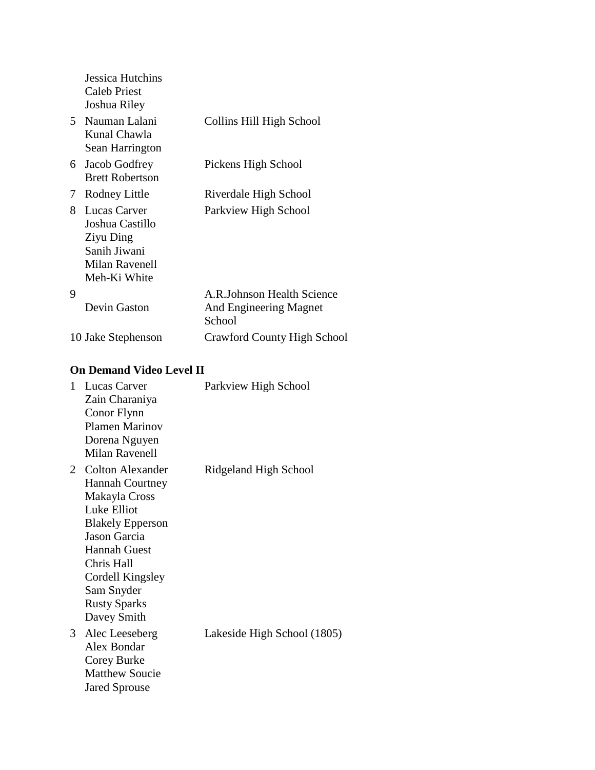|    | Jessica Hutchins<br><b>Caleb Priest</b><br>Joshua Riley                                        |                                                                |
|----|------------------------------------------------------------------------------------------------|----------------------------------------------------------------|
|    | 5 Nauman Lalani<br>Kunal Chawla<br>Sean Harrington                                             | Collins Hill High School                                       |
| 6  | Jacob Godfrey<br><b>Brett Robertson</b>                                                        | Pickens High School                                            |
| 7  | Rodney Little                                                                                  | Riverdale High School                                          |
| 8. | Lucas Carver<br>Joshua Castillo<br>Ziyu Ding<br>Sanih Jiwani<br>Milan Ravenell<br>Meh-Ki White | Parkview High School                                           |
| 9  | Devin Gaston                                                                                   | A.R.Johnson Health Science<br>And Engineering Magnet<br>School |
|    | 10 Jake Stephenson                                                                             | Crawford County High School                                    |

### **On Demand Video Level II**

| $\mathbf{1}$ | Lucas Carver<br>Zain Charaniya<br>Conor Flynn<br>Plamen Marinov<br>Dorena Nguyen<br><b>Milan Ravenell</b>                                                                                                                                        | Parkview High School        |
|--------------|--------------------------------------------------------------------------------------------------------------------------------------------------------------------------------------------------------------------------------------------------|-----------------------------|
| 2            | <b>Colton Alexander</b><br><b>Hannah Courtney</b><br>Makayla Cross<br>Luke Elliot<br><b>Blakely Epperson</b><br><b>Jason Garcia</b><br><b>Hannah Guest</b><br>Chris Hall<br>Cordell Kingsley<br>Sam Snyder<br><b>Rusty Sparks</b><br>Davey Smith | Ridgeland High School       |
| 3            | Alec Leeseberg<br>Alex Bondar<br>Corey Burke<br><b>Matthew Soucie</b><br><b>Jared Sprouse</b>                                                                                                                                                    | Lakeside High School (1805) |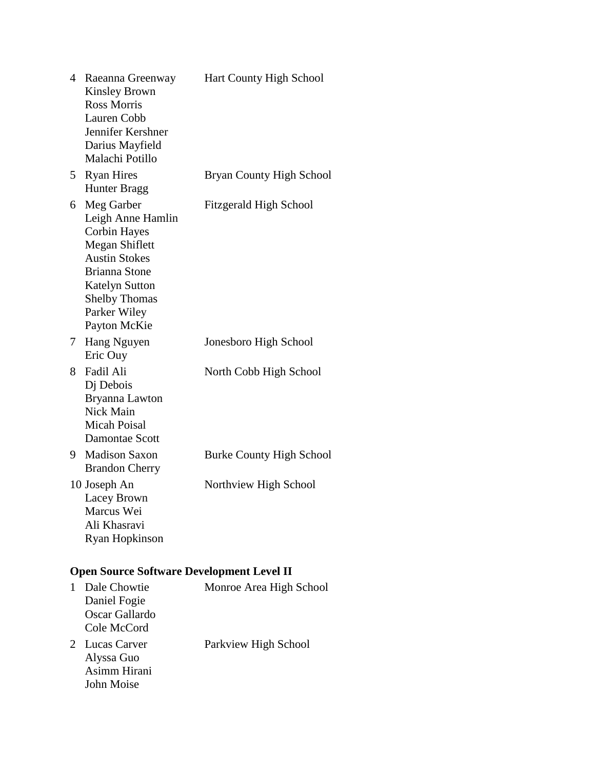|    | 4 Raeanna Greenway<br><b>Kinsley Brown</b><br><b>Ross Morris</b><br>Lauren Cobb<br>Jennifer Kershner<br>Darius Mayfield<br>Malachi Potillo                                                                | Hart County High School         |
|----|-----------------------------------------------------------------------------------------------------------------------------------------------------------------------------------------------------------|---------------------------------|
| 5  | <b>Ryan Hires</b><br><b>Hunter Bragg</b>                                                                                                                                                                  | Bryan County High School        |
| 6  | Meg Garber<br>Leigh Anne Hamlin<br><b>Corbin Hayes</b><br>Megan Shiflett<br><b>Austin Stokes</b><br><b>Brianna Stone</b><br><b>Katelyn Sutton</b><br><b>Shelby Thomas</b><br>Parker Wiley<br>Payton McKie | <b>Fitzgerald High School</b>   |
| 7  | Hang Nguyen<br>Eric Ouy                                                                                                                                                                                   | Jonesboro High School           |
| 8  | Fadil Ali<br>Dj Debois<br>Bryanna Lawton<br>Nick Main<br>Micah Poisal<br><b>Damontae Scott</b>                                                                                                            | North Cobb High School          |
| 9. | <b>Madison Saxon</b><br><b>Brandon Cherry</b>                                                                                                                                                             | <b>Burke County High School</b> |
|    | 10 Joseph An<br>Lacey Brown<br>Marcus Wei<br>Ali Khasravi<br><b>Ryan Hopkinson</b>                                                                                                                        | Northview High School           |
|    | <b>Open Source Software Development Level II</b>                                                                                                                                                          |                                 |
| 1  | Dale Chowtie<br>Daniel Fogie<br>Oscar Gallardo<br>Cole McCord                                                                                                                                             | Monroe Area High School         |
|    | 2 Lucas Carver<br>Alyssa Guo<br>Asimm Hirani                                                                                                                                                              | Parkview High School            |

John Moise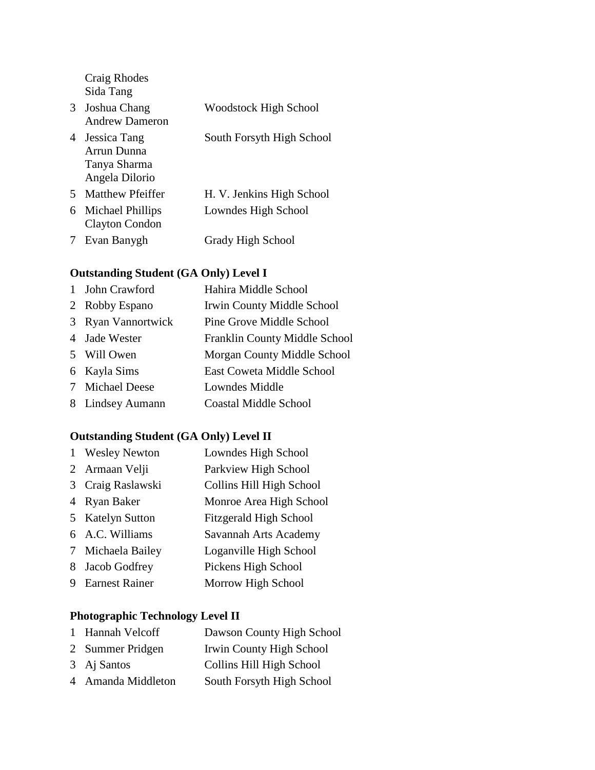Craig Rhodes Sida Tang

| 3 | Joshua Chang<br><b>Andrew Dameron</b>                         | <b>Woodstock High School</b> |
|---|---------------------------------------------------------------|------------------------------|
| 4 | Jessica Tang<br>Arrun Dunna<br>Tanya Sharma<br>Angela Dilorio | South Forsyth High School    |
| 5 | <b>Matthew Pfeiffer</b>                                       | H. V. Jenkins High School    |
| 6 | Michael Phillips<br><b>Clayton Condon</b>                     | Lowndes High School          |
|   | 7 Evan Banygh                                                 | <b>Grady High School</b>     |

# **Outstanding Student (GA Only) Level I**

| 1 John Crawford    | Hahira Middle School              |
|--------------------|-----------------------------------|
| 2 Robby Espano     | <b>Irwin County Middle School</b> |
| 3 Ryan Vannortwick | Pine Grove Middle School          |
| 4 Jade Wester      | Franklin County Middle School     |
| 5 Will Owen        | Morgan County Middle School       |
| 6 Kayla Sims       | East Coweta Middle School         |
| 7 Michael Deese    | Lowndes Middle                    |
| 8 Lindsey Aumann   | <b>Coastal Middle School</b>      |
|                    |                                   |

# **Outstanding Student (GA Only) Level II**

|   | <b>Wesley Newton</b>  | Lowndes High School           |
|---|-----------------------|-------------------------------|
|   | 2 Armaan Velji        | Parkview High School          |
| 3 | Craig Raslawski       | Collins Hill High School      |
| 4 | Ryan Baker            | Monroe Area High School       |
|   | 5 Katelyn Sutton      | <b>Fitzgerald High School</b> |
|   | 6 A.C. Williams       | Savannah Arts Academy         |
|   | 7 Michaela Bailey     | Loganville High School        |
| 8 | Jacob Godfrey         | Pickens High School           |
| 9 | <b>Earnest Rainer</b> | Morrow High School            |

### **Photographic Technology Level II**

| 1 Hannah Velcoff   | Dawson County High School |
|--------------------|---------------------------|
| 2 Summer Pridgen   | Irwin County High School  |
| 3 Aj Santos        | Collins Hill High School  |
| 4 Amanda Middleton | South Forsyth High School |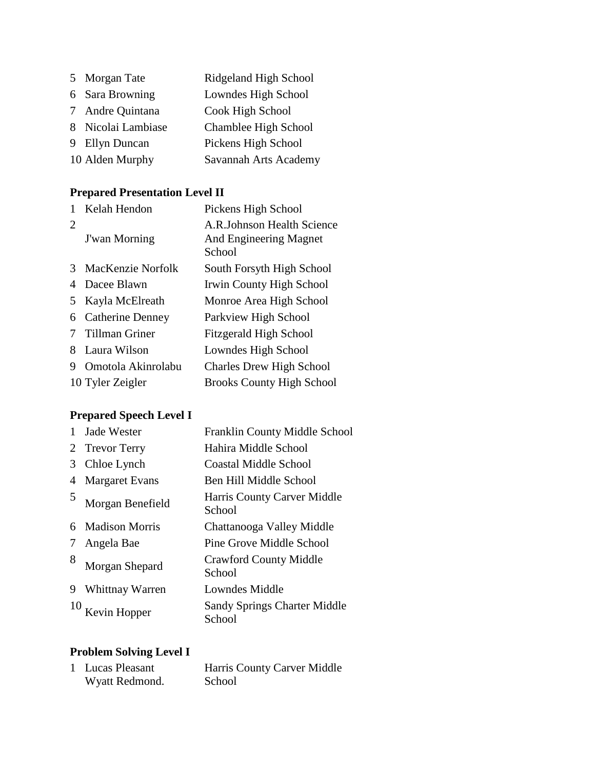| 5 Morgan Tate      | Ridgeland High School |
|--------------------|-----------------------|
| 6 Sara Browning    | Lowndes High School   |
| 7 Andre Quintana   | Cook High School      |
| 8 Nicolai Lambiase | Chamblee High School  |
| 9 Ellyn Duncan     | Pickens High School   |
| 10 Alden Murphy    | Savannah Arts Academy |

# **Prepared Presentation Level II**

|   | Kelah Hendon            | Pickens High School                                             |
|---|-------------------------|-----------------------------------------------------------------|
| 2 | <b>J'wan Morning</b>    | A.R. Johnson Health Science<br>And Engineering Magnet<br>School |
| 3 | MacKenzie Norfolk       | South Forsyth High School                                       |
|   | Dacee Blawn             | Irwin County High School                                        |
| 5 | Kayla McElreath         | Monroe Area High School                                         |
| 6 | <b>Catherine Denney</b> | Parkview High School                                            |
|   | <b>Tillman Griner</b>   | <b>Fitzgerald High School</b>                                   |
| 8 | Laura Wilson            | Lowndes High School                                             |
| 9 | Omotola Akinrolabu      | <b>Charles Drew High School</b>                                 |
|   | 10 Tyler Zeigler        | <b>Brooks County High School</b>                                |

# **Prepared Speech Level I**

|   | Jade Wester           | Franklin County Middle School                 |
|---|-----------------------|-----------------------------------------------|
| 2 | <b>Trevor Terry</b>   | Hahira Middle School                          |
| 3 | Chloe Lynch           | <b>Coastal Middle School</b>                  |
| 4 | <b>Margaret Evans</b> | Ben Hill Middle School                        |
| 5 | Morgan Benefield      | Harris County Carver Middle<br>School         |
| 6 | <b>Madison Morris</b> | Chattanooga Valley Middle                     |
| 7 | Angela Bae            | Pine Grove Middle School                      |
| 8 | Morgan Shepard        | <b>Crawford County Middle</b><br>School       |
| 9 | Whittnay Warren       | Lowndes Middle                                |
|   | Kevin Hopper          | <b>Sandy Springs Charter Middle</b><br>School |

# **Problem Solving Level I**

| 1 Lucas Pleasant | Harris County Carver Middle |
|------------------|-----------------------------|
| Wyatt Redmond.   | School                      |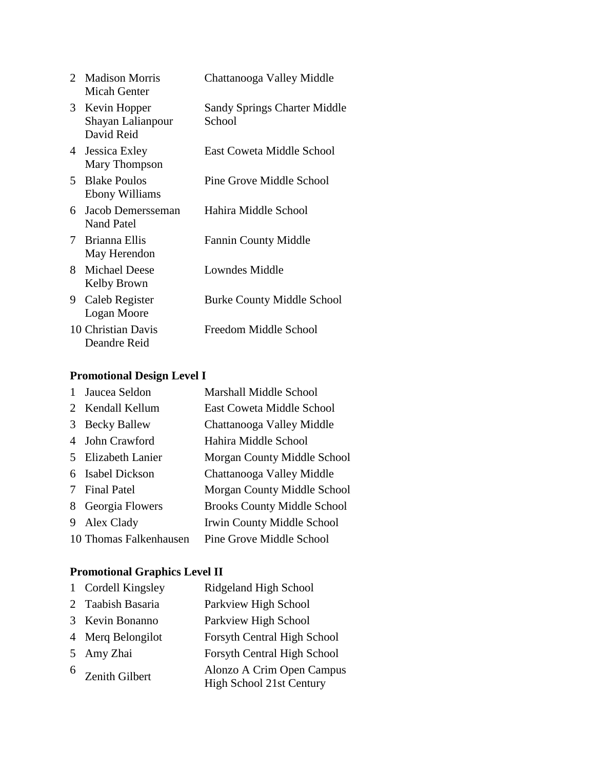| $\overline{2}$ | <b>Madison Morris</b><br>Micah Genter           | Chattanooga Valley Middle                     |
|----------------|-------------------------------------------------|-----------------------------------------------|
| 3              | Kevin Hopper<br>Shayan Lalianpour<br>David Reid | <b>Sandy Springs Charter Middle</b><br>School |
| 4              | Jessica Exley<br>Mary Thompson                  | East Coweta Middle School                     |
| 5.             | <b>Blake Poulos</b><br><b>Ebony Williams</b>    | Pine Grove Middle School                      |
| 6              | Jacob Demersseman<br>Nand Patel                 | Hahira Middle School                          |
|                | 7 Brianna Ellis<br>May Herendon                 | <b>Fannin County Middle</b>                   |
| 8.             | <b>Michael Deese</b><br>Kelby Brown             | <b>Lowndes Middle</b>                         |
| 9.             | Caleb Register<br>Logan Moore                   | <b>Burke County Middle School</b>             |
|                | 10 Christian Davis<br>Deandre Reid              | Freedom Middle School                         |

# **Promotional Design Level I**

| Jaucea Seldon          | Marshall Middle School             |
|------------------------|------------------------------------|
| 2 Kendall Kellum       | East Coweta Middle School          |
| <b>Becky Ballew</b>    | Chattanooga Valley Middle          |
| John Crawford          | Hahira Middle School               |
| 5 Elizabeth Lanier     | Morgan County Middle School        |
| Isabel Dickson         | Chattanooga Valley Middle          |
| 7 Final Patel          | <b>Morgan County Middle School</b> |
| Georgia Flowers        | <b>Brooks County Middle School</b> |
| Alex Clady             | Irwin County Middle School         |
| 10 Thomas Falkenhausen | Pine Grove Middle School           |
|                        |                                    |

# **Promotional Graphics Level II**

|   | 1 Cordell Kingsley | Ridgeland High School                                 |
|---|--------------------|-------------------------------------------------------|
|   | 2 Taabish Basaria  | Parkview High School                                  |
|   | 3 Kevin Bonanno    | Parkview High School                                  |
|   | 4 Merq Belongilot  | Forsyth Central High School                           |
|   | 5 Amy Zhai         | Forsyth Central High School                           |
| 6 | Zenith Gilbert     | Alonzo A Crim Open Campus<br>High School 21st Century |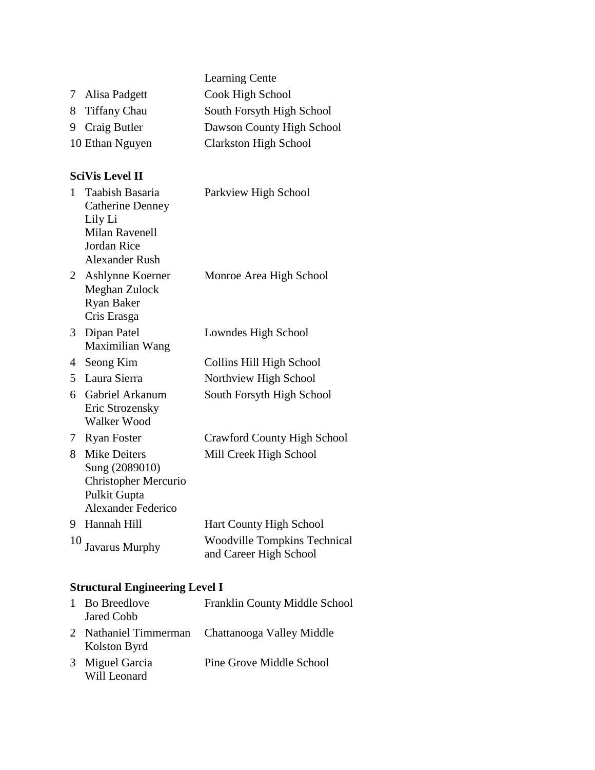|                 | <b>Learning Cente</b>        |
|-----------------|------------------------------|
| 7 Alisa Padgett | Cook High School             |
| 8 Tiffany Chau  | South Forsyth High School    |
| 9 Craig Butler  | Dawson County High School    |
| 10 Ethan Nguyen | <b>Clarkston High School</b> |

### **SciVis Level II**

| $\mathbf{1}$   | Taabish Basaria<br><b>Catherine Denney</b><br>Lily Li<br><b>Milan Ravenell</b><br>Jordan Rice<br><b>Alexander Rush</b> | Parkview High School                                          |
|----------------|------------------------------------------------------------------------------------------------------------------------|---------------------------------------------------------------|
| $2^{\circ}$    | Ashlynne Koerner<br>Meghan Zulock<br><b>Ryan Baker</b><br>Cris Erasga                                                  | Monroe Area High School                                       |
| 3 <sup>1</sup> | Dipan Patel<br>Maximilian Wang                                                                                         | Lowndes High School                                           |
| 4              | Seong Kim                                                                                                              | Collins Hill High School                                      |
| 5              | Laura Sierra                                                                                                           | Northview High School                                         |
| 6.             | Gabriel Arkanum<br>Eric Strozensky<br>Walker Wood                                                                      | South Forsyth High School                                     |
| 7.             | <b>Ryan Foster</b>                                                                                                     | <b>Crawford County High School</b>                            |
| 8.             | <b>Mike Deiters</b><br>Sung (2089010)<br><b>Christopher Mercurio</b><br>Pulkit Gupta<br>Alexander Federico             | Mill Creek High School                                        |
| 9.             | Hannah Hill                                                                                                            | <b>Hart County High School</b>                                |
| 10             | <b>Javarus Murphy</b>                                                                                                  | <b>Woodville Tompkins Technical</b><br>and Career High School |

# **Structural Engineering Level I**

| 1 Bo Breedlove<br>Jared Cobb          | Franklin County Middle School |
|---------------------------------------|-------------------------------|
| 2 Nathaniel Timmerman<br>Kolston Byrd | Chattanooga Valley Middle     |
| 3 Miguel Garcia<br>Will Leonard       | Pine Grove Middle School      |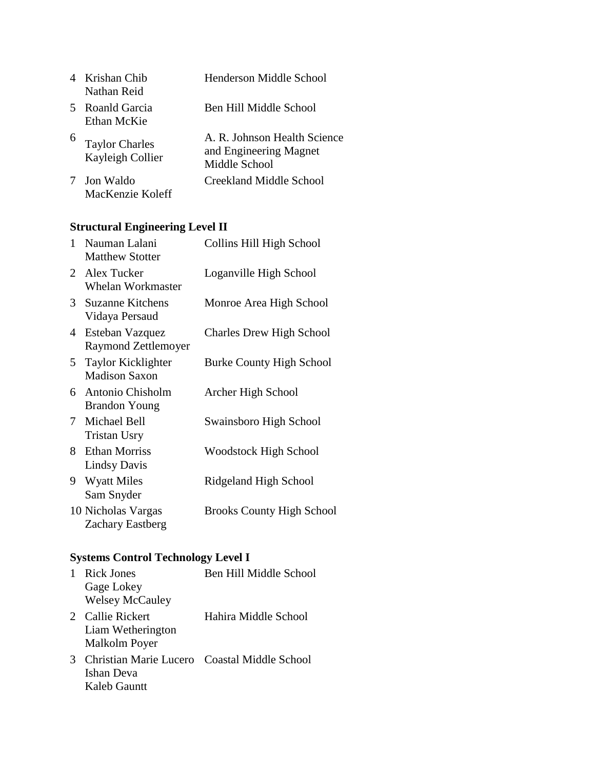|   | 4 Krishan Chib<br>Nathan Reid             | Henderson Middle School                                                 |
|---|-------------------------------------------|-------------------------------------------------------------------------|
| 5 | Roanld Garcia<br>Ethan McKie              | Ben Hill Middle School                                                  |
| 6 | <b>Taylor Charles</b><br>Kayleigh Collier | A. R. Johnson Health Science<br>and Engineering Magnet<br>Middle School |
|   | Jon Waldo<br>MacKenzie Koleff             | Creekland Middle School                                                 |

# **Structural Engineering Level II**

| 1           | Nauman Lalani<br><b>Matthew Stotter</b>       | Collins Hill High School         |
|-------------|-----------------------------------------------|----------------------------------|
|             | 2 Alex Tucker<br><b>Whelan Workmaster</b>     | Loganville High School           |
| 3           | <b>Suzanne Kitchens</b><br>Vidaya Persaud     | Monroe Area High School          |
| 4           | Esteban Vazquez<br>Raymond Zettlemoyer        | <b>Charles Drew High School</b>  |
| 5           | Taylor Kicklighter<br><b>Madison Saxon</b>    | <b>Burke County High School</b>  |
| 6.          | Antonio Chisholm<br><b>Brandon Young</b>      | Archer High School               |
| $7^{\circ}$ | Michael Bell<br><b>Tristan Usry</b>           | Swainsboro High School           |
| 8           | <b>Ethan Morriss</b><br><b>Lindsy Davis</b>   | <b>Woodstock High School</b>     |
| 9           | <b>Wyatt Miles</b><br>Sam Snyder              | Ridgeland High School            |
|             | 10 Nicholas Vargas<br><b>Zachary Eastberg</b> | <b>Brooks County High School</b> |

# **Systems Control Technology Level I**

| 1                      | Rick Jones                                   | Ben Hill Middle School |
|------------------------|----------------------------------------------|------------------------|
|                        | Gage Lokey                                   |                        |
|                        | <b>Welsey McCauley</b>                       |                        |
| $\mathfrak{D}_{\cdot}$ | Callie Rickert                               | Hahira Middle School   |
|                        | Liam Wetherington                            |                        |
|                        | Malkolm Poyer                                |                        |
| 3                      | Christian Marie Lucero Coastal Middle School |                        |
|                        | Ishan Deva                                   |                        |
|                        | Kaleb Gauntt                                 |                        |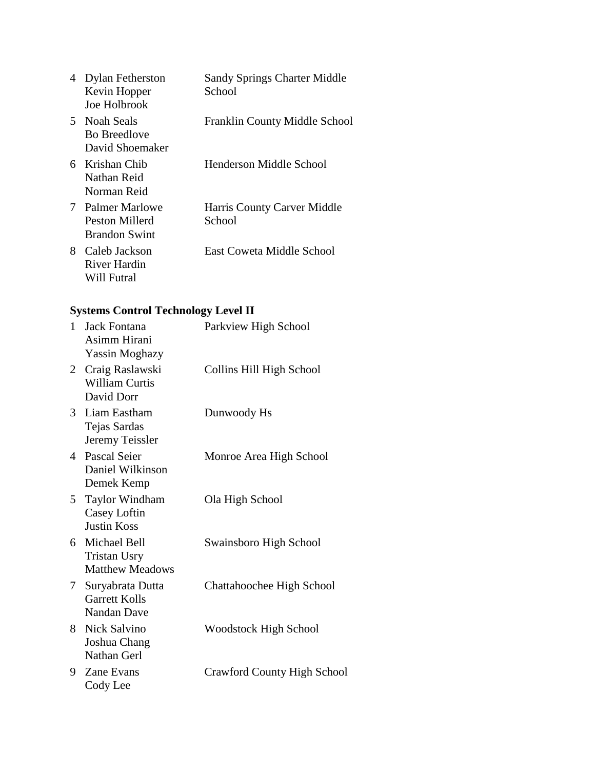| 4  | <b>Dylan Fetherston</b><br>Kevin Hopper<br>Joe Holbrook  | <b>Sandy Springs Charter Middle</b><br>School |
|----|----------------------------------------------------------|-----------------------------------------------|
|    | 5 Noah Seals<br><b>Bo Breedlove</b><br>David Shoemaker   | <b>Franklin County Middle School</b>          |
|    | 6 Krishan Chib<br>Nathan Reid<br>Norman Reid             | Henderson Middle School                       |
| 7  | Palmer Marlowe<br>Peston Millerd<br><b>Brandon Swint</b> | Harris County Carver Middle<br>School         |
| 8. | Caleb Jackson<br>River Hardin<br>Will Futral             | East Coweta Middle School                     |

# **Systems Control Technology Level II**

| 1               | Jack Fontana<br>Asimm Hirani<br><b>Yassin Moghazy</b>           | Parkview High School               |
|-----------------|-----------------------------------------------------------------|------------------------------------|
| 2               | Craig Raslawski<br><b>William Curtis</b><br>David Dorr          | Collins Hill High School           |
|                 | 3 Liam Eastham<br>Tejas Sardas<br>Jeremy Teissler               | Dunwoody Hs                        |
|                 | 4 Pascal Seier<br>Daniel Wilkinson<br>Demek Kemp                | Monroe Area High School            |
| 5               | <b>Taylor Windham</b><br>Casey Loftin<br><b>Justin Koss</b>     | Ola High School                    |
|                 | 6 Michael Bell<br><b>Tristan Usry</b><br><b>Matthew Meadows</b> | Swainsboro High School             |
| $7\phantom{.0}$ | Suryabrata Dutta<br><b>Garrett Kolls</b><br><b>Nandan Dave</b>  | Chattahoochee High School          |
| 8               | Nick Salvino<br>Joshua Chang<br>Nathan Gerl                     | Woodstock High School              |
| 9               | Zane Evans<br>Cody Lee                                          | <b>Crawford County High School</b> |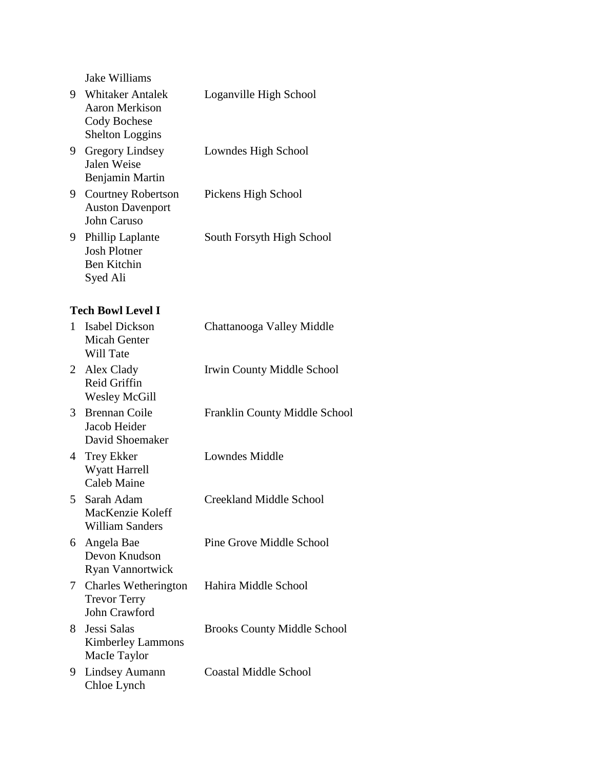Jake Williams

| 9. | <b>Whitaker Antalek</b><br><b>Aaron Merkison</b><br>Cody Bochese<br><b>Shelton Loggins</b> | Loganville High School             |
|----|--------------------------------------------------------------------------------------------|------------------------------------|
| 9  | <b>Gregory Lindsey</b><br>Jalen Weise<br>Benjamin Martin                                   | Lowndes High School                |
| 9  | <b>Courtney Robertson</b><br><b>Auston Davenport</b><br>John Caruso                        | Pickens High School                |
| 9. | <b>Phillip Laplante</b><br><b>Josh Plotner</b><br><b>Ben Kitchin</b><br>Syed Ali           | South Forsyth High School          |
|    | <b>Tech Bowl Level I</b>                                                                   |                                    |
| 1. | <b>Isabel Dickson</b><br><b>Micah Genter</b><br>Will Tate                                  | Chattanooga Valley Middle          |
| 2  | Alex Clady<br>Reid Griffin<br><b>Wesley McGill</b>                                         | Irwin County Middle School         |
|    | 3 Brennan Coile<br>Jacob Heider<br>David Shoemaker                                         | Franklin County Middle School      |
| 4  | Trey Ekker<br>Wyatt Harrell<br><b>Caleb Maine</b>                                          | Lowndes Middle                     |
| 5  | Sarah Adam<br>MacKenzie Koleff<br><b>William Sanders</b>                                   | <b>Creekland Middle School</b>     |
| 6  | Angela Bae<br>Devon Knudson<br><b>Ryan Vannortwick</b>                                     | Pine Grove Middle School           |
| 7  | <b>Charles Wetherington</b><br><b>Trevor Terry</b><br><b>John Crawford</b>                 | Hahira Middle School               |
| 8  | Jessi Salas<br><b>Kimberley Lammons</b><br>Macle Taylor                                    | <b>Brooks County Middle School</b> |
| 9  | <b>Lindsey Aumann</b><br>Chloe Lynch                                                       | <b>Coastal Middle School</b>       |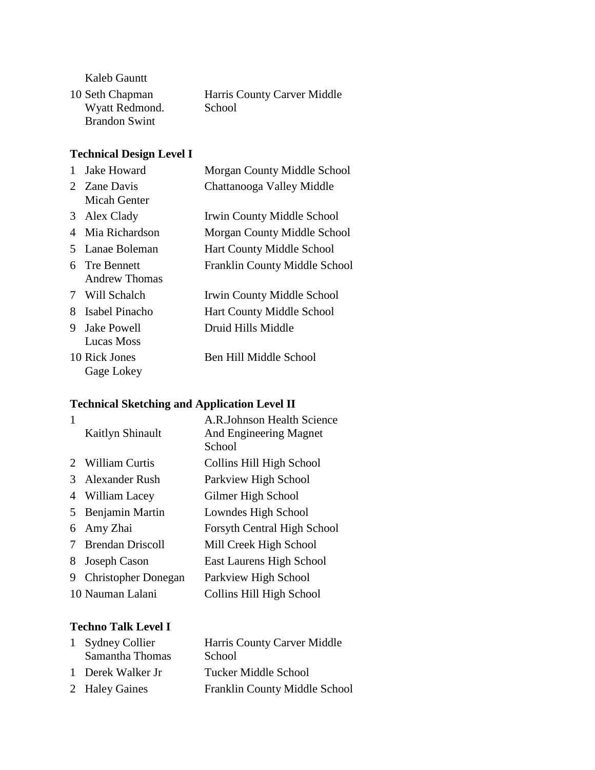Kaleb Gauntt

| 10 Seth Chapman      | Harris County Carver Middle |
|----------------------|-----------------------------|
| Wyatt Redmond.       | School                      |
| <b>Brandon Swint</b> |                             |

### **Technical Design Level I**

| $\mathbf{1}$ | <b>Jake Howard</b>               | Morgan County Middle School      |
|--------------|----------------------------------|----------------------------------|
|              | 2 Zane Davis<br>Micah Genter     | Chattanooga Valley Middle        |
| 3            | Alex Clady                       | Irwin County Middle School       |
| 4            | Mia Richardson                   | Morgan County Middle School      |
|              | 5 Lanae Boleman                  | <b>Hart County Middle School</b> |
|              | 6 Tre Bennett<br>Andrew Thomas   | Franklin County Middle School    |
|              | 7 Will Schalch                   | Irwin County Middle School       |
|              | 8 Isabel Pinacho                 | <b>Hart County Middle School</b> |
| 9            | <b>Jake Powell</b><br>Lucas Moss | Druid Hills Middle               |
|              | 10 Rick Jones<br>Gage Lokey      | Ben Hill Middle School           |

# **Technical Sketching and Application Level II**

|   | Kaitlyn Shinault           | A.R.Johnson Health Science<br>And Engineering Magnet<br>School |
|---|----------------------------|----------------------------------------------------------------|
|   | 2 William Curtis           | Collins Hill High School                                       |
|   | Alexander Rush             | Parkview High School                                           |
| 4 | William Lacey              | Gilmer High School                                             |
| 5 | Benjamin Martin            | Lowndes High School                                            |
| 6 | Amy Zhai                   | <b>Forsyth Central High School</b>                             |
|   | <b>Brendan Driscoll</b>    | Mill Creek High School                                         |
| 8 | Joseph Cason               | East Laurens High School                                       |
| 9 | <b>Christopher Donegan</b> | Parkview High School                                           |
|   | 10 Nauman Lalani           | Collins Hill High School                                       |

### **Techno Talk Level I**

| 1 Sydney Collier  | Harris County Carver Middle   |
|-------------------|-------------------------------|
| Samantha Thomas   | School                        |
| 1 Derek Walker Jr | Tucker Middle School          |
| 2 Haley Gaines    | Franklin County Middle School |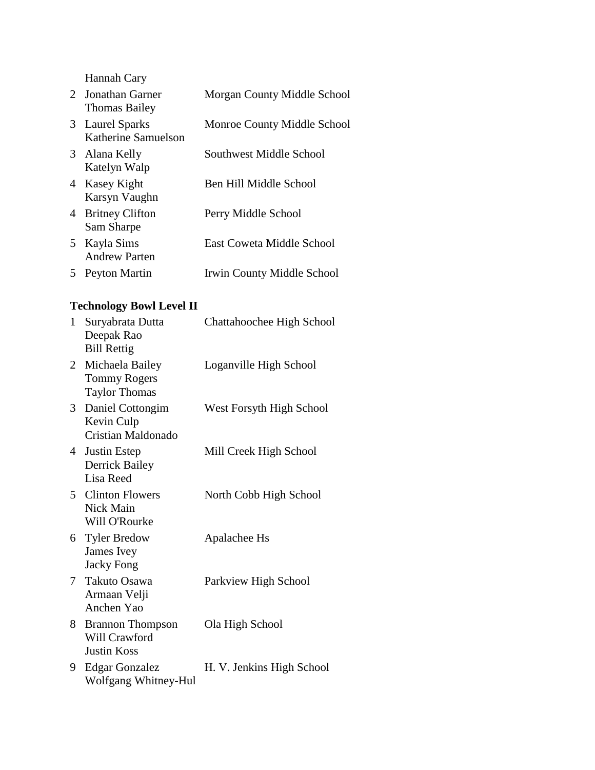Hannah Cary

|    | 2 Jonathan Garner<br><b>Thomas Bailey</b> | Morgan County Middle School |
|----|-------------------------------------------|-----------------------------|
|    | 3 Laurel Sparks<br>Katherine Samuelson    | Monroe County Middle School |
|    | 3 Alana Kelly<br>Katelyn Walp             | Southwest Middle School     |
|    | 4 Kasey Kight<br>Karsyn Vaughn            | Ben Hill Middle School      |
| 4  | <b>Britney Clifton</b><br>Sam Sharpe      | Perry Middle School         |
|    | 5 Kayla Sims<br><b>Andrew Parten</b>      | East Coweta Middle School   |
| 5. | Peyton Martin                             | Irwin County Middle School  |
|    |                                           |                             |

# **Technology Bowl Level II**

| 1              | Suryabrata Dutta<br>Deepak Rao<br><b>Bill Rettig</b>           | Chattahoochee High School |
|----------------|----------------------------------------------------------------|---------------------------|
| $\overline{2}$ | Michaela Bailey<br><b>Tommy Rogers</b><br><b>Taylor Thomas</b> | Loganville High School    |
| 3              | Daniel Cottongim<br>Kevin Culp<br>Cristian Maldonado           | West Forsyth High School  |
| 4              | Justin Estep<br><b>Derrick Bailey</b><br>Lisa Reed             | Mill Creek High School    |
|                | 5 Clinton Flowers<br>Nick Main<br>Will O'Rourke                | North Cobb High School    |
| 6              | <b>Tyler Bredow</b><br>James Ivey<br><b>Jacky Fong</b>         | Apalachee Hs              |
| 7              | Takuto Osawa<br>Armaan Velji<br>Anchen Yao                     | Parkview High School      |
| 8.             | <b>Brannon Thompson</b><br>Will Crawford<br><b>Justin Koss</b> | Ola High School           |
| 9              | <b>Edgar Gonzalez</b><br>Wolfgang Whitney-Hul                  | H. V. Jenkins High School |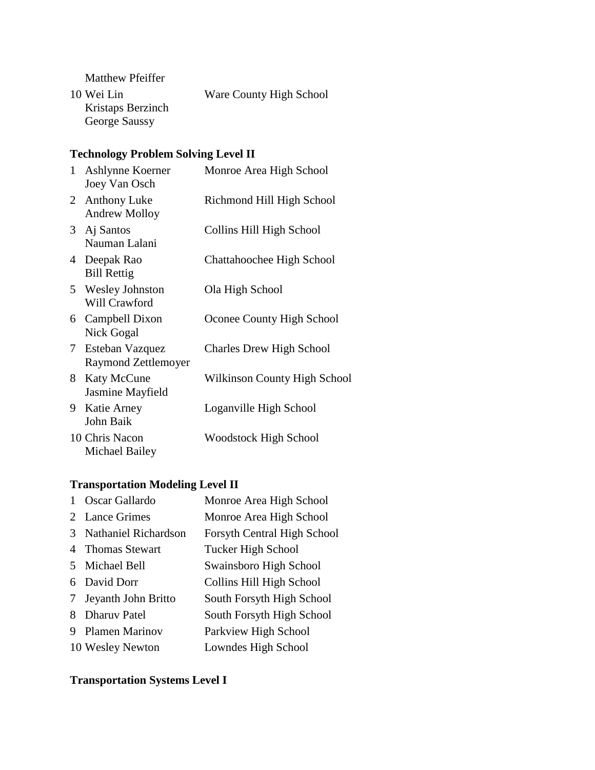Matthew Pfeiffer

10 Wei Lin Kristaps Berzinch George Saussy Ware County High School

#### **Technology Problem Solving Level II**

| $\mathbf{1}$   | Ashlynne Koerner<br>Joey Van Osch       | Monroe Area High School         |
|----------------|-----------------------------------------|---------------------------------|
|                | 2 Anthony Luke<br><b>Andrew Molloy</b>  | Richmond Hill High School       |
|                | 3 Aj Santos<br>Nauman Lalani            | Collins Hill High School        |
|                | 4 Deepak Rao<br><b>Bill Rettig</b>      | Chattahoochee High School       |
| 5              | <b>Wesley Johnston</b><br>Will Crawford | Ola High School                 |
|                | 6 Campbell Dixon<br>Nick Gogal          | Oconee County High School       |
| 7 <sup>1</sup> | Esteban Vazquez<br>Raymond Zettlemoyer  | <b>Charles Drew High School</b> |
| 8              | <b>Katy McCune</b><br>Jasmine Mayfield  | Wilkinson County High School    |
| 9.             | Katie Arney<br>John Baik                | Loganville High School          |
|                | 10 Chris Nacon<br>Michael Bailey        | <b>Woodstock High School</b>    |

### **Transportation Modeling Level II**

|               | Oscar Gallardo              | Monroe Area High School            |
|---------------|-----------------------------|------------------------------------|
|               | 2 Lance Grimes              | Monroe Area High School            |
| $\mathcal{F}$ | <b>Nathaniel Richardson</b> | <b>Forsyth Central High School</b> |
|               | 4 Thomas Stewart            | <b>Tucker High School</b>          |
|               | 5 Michael Bell              | Swainsboro High School             |
|               | 6 David Dorr                | Collins Hill High School           |
| 7             | Jeyanth John Britto         | South Forsyth High School          |
| 8             | <b>Dharuv Patel</b>         | South Forsyth High School          |
| 9             | <b>Plamen Marinov</b>       | Parkview High School               |
|               | 10 Wesley Newton            | Lowndes High School                |

# **Transportation Systems Level I**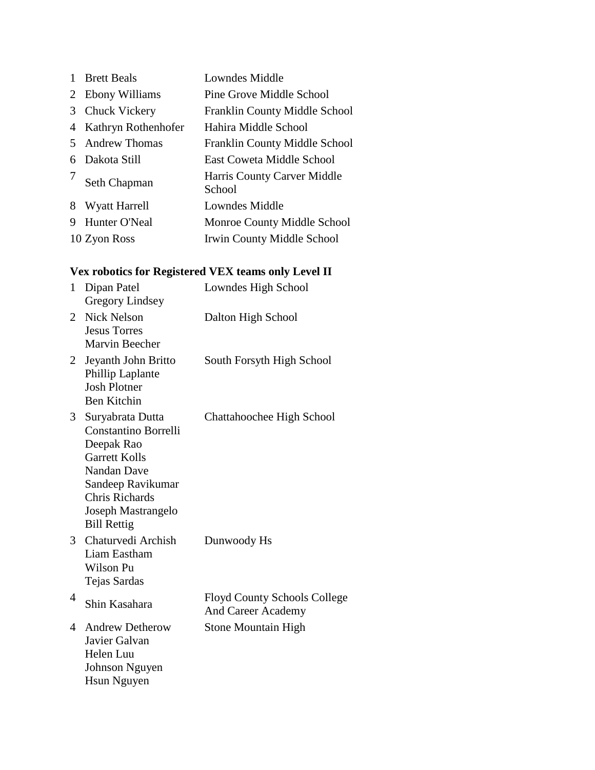|    | <b>Brett Beals</b>   | Lowndes Middle                        |
|----|----------------------|---------------------------------------|
| 2  | Ebony Williams       | Pine Grove Middle School              |
| 3  | Chuck Vickery        | Franklin County Middle School         |
| 4  | Kathryn Rothenhofer  | Hahira Middle School                  |
| 5. | <b>Andrew Thomas</b> | Franklin County Middle School         |
| 6  | Dakota Still         | <b>East Coweta Middle School</b>      |
|    | Seth Chapman         | Harris County Carver Middle<br>School |
| 8  | Wyatt Harrell        | Lowndes Middle                        |
| 9  | Hunter O'Neal        | Monroe County Middle School           |
|    | 10 Zyon Ross         | Irwin County Middle School            |

# **Vex robotics for Registered VEX teams only Level II**

| $\mathbf{1}$   | Dipan Patel<br><b>Gregory Lindsey</b>                                                                                                                                                                 | Lowndes High School                                       |
|----------------|-------------------------------------------------------------------------------------------------------------------------------------------------------------------------------------------------------|-----------------------------------------------------------|
| 2              | <b>Nick Nelson</b><br><b>Jesus Torres</b><br><b>Marvin Beecher</b>                                                                                                                                    | Dalton High School                                        |
| 2              | Jeyanth John Britto<br>Phillip Laplante<br><b>Josh Plotner</b><br><b>Ben Kitchin</b>                                                                                                                  | South Forsyth High School                                 |
| 3 <sup>1</sup> | Suryabrata Dutta<br><b>Constantino Borrelli</b><br>Deepak Rao<br><b>Garrett Kolls</b><br><b>Nandan Dave</b><br>Sandeep Ravikumar<br><b>Chris Richards</b><br>Joseph Mastrangelo<br><b>Bill Rettig</b> | Chattahoochee High School                                 |
| 3              | Chaturvedi Archish<br>Liam Eastham<br>Wilson Pu<br>Tejas Sardas                                                                                                                                       | Dunwoody Hs                                               |
| 4              | Shin Kasahara                                                                                                                                                                                         | <b>Floyd County Schools College</b><br>And Career Academy |
| 4              | <b>Andrew Detherow</b><br>Javier Galvan<br>Helen Luu<br><b>Johnson Nguyen</b><br><b>Hsun Nguyen</b>                                                                                                   | <b>Stone Mountain High</b>                                |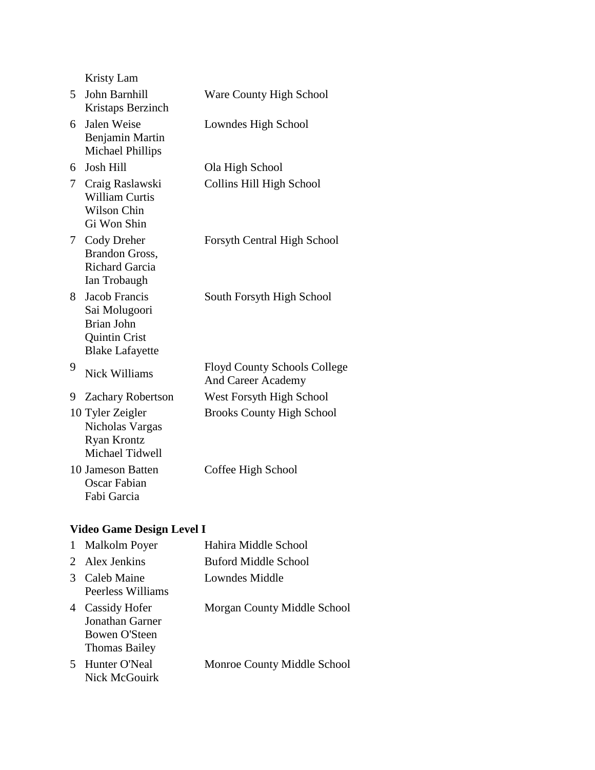|                 | Kristy Lam                                                                                     |                                                                  |
|-----------------|------------------------------------------------------------------------------------------------|------------------------------------------------------------------|
| 5               | John Barnhill<br>Kristaps Berzinch                                                             | Ware County High School                                          |
| 6               | Jalen Weise<br>Benjamin Martin<br>Michael Phillips                                             | Lowndes High School                                              |
| 6               | <b>Josh Hill</b>                                                                               | Ola High School                                                  |
| 7               | Craig Raslawski<br><b>William Curtis</b><br><b>Wilson Chin</b><br>Gi Won Shin                  | Collins Hill High School                                         |
| $7\phantom{.0}$ | Cody Dreher<br><b>Brandon Gross,</b><br><b>Richard Garcia</b><br>Ian Trobaugh                  | Forsyth Central High School                                      |
| 8               | Jacob Francis<br>Sai Molugoori<br>Brian John<br><b>Quintin Crist</b><br><b>Blake Lafayette</b> | South Forsyth High School                                        |
| 9               | <b>Nick Williams</b>                                                                           | <b>Floyd County Schools College</b><br><b>And Career Academy</b> |
| 9               | <b>Zachary Robertson</b>                                                                       | West Forsyth High School                                         |
|                 | 10 Tyler Zeigler<br>Nicholas Vargas<br><b>Ryan Krontz</b><br>Michael Tidwell                   | <b>Brooks County High School</b>                                 |
|                 | 10 Jameson Batten<br><b>Oscar Fabian</b><br>Fabi Garcia                                        | Coffee High School                                               |

# **Video Game Design Level I**

| 1 | <b>Malkolm Poyer</b>                                                             | Hahira Middle School        |
|---|----------------------------------------------------------------------------------|-----------------------------|
|   | 2 Alex Jenkins                                                                   | Buford Middle School        |
|   | Caleb Maine<br>Peerless Williams                                                 | Lowndes Middle              |
| 4 | <b>Cassidy Hofer</b><br>Jonathan Garner<br>Bowen O'Steen<br><b>Thomas Bailey</b> | Morgan County Middle School |
| 5 | Hunter O'Neal<br>Nick McGouirk                                                   | Monroe County Middle School |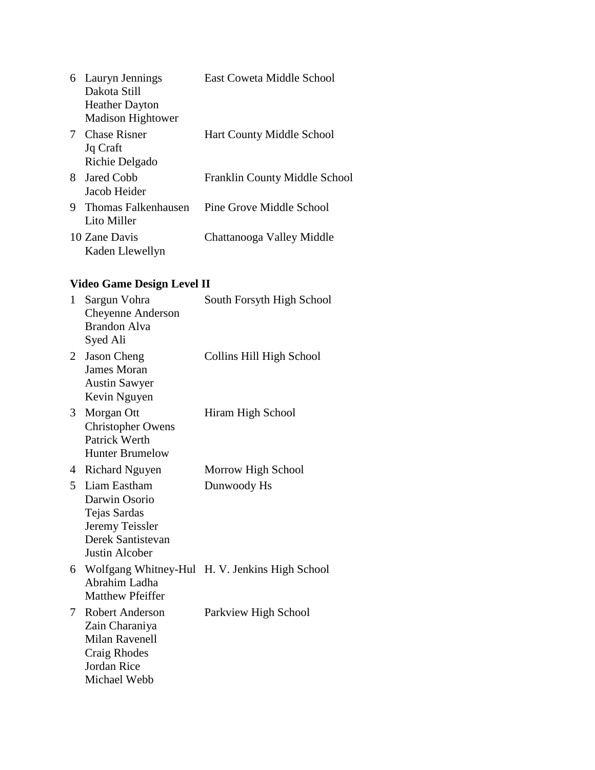| 6 | Lauryn Jennings<br>Dakota Still<br><b>Heather Dayton</b><br><b>Madison Hightower</b> | East Coweta Middle School        |
|---|--------------------------------------------------------------------------------------|----------------------------------|
|   | 7 Chase Risner<br>Jq Craft<br>Richie Delgado                                         | <b>Hart County Middle School</b> |
|   | 8 Jared Cobb<br>Jacob Heider                                                         | Franklin County Middle School    |
| 9 | Thomas Falkenhausen<br>Lito Miller                                                   | Pine Grove Middle School         |
|   | 10 Zane Davis<br>Kaden Llewellyn                                                     | Chattanooga Valley Middle        |

# **Video Game Design Level II**

| $\mathbf{1}$ | Sargun Vohra<br>Cheyenne Anderson<br><b>Brandon Alva</b><br>Syed Ali                                                           | South Forsyth High School                      |
|--------------|--------------------------------------------------------------------------------------------------------------------------------|------------------------------------------------|
| 2            | <b>Jason Cheng</b><br>James Moran<br><b>Austin Sawyer</b><br>Kevin Nguyen                                                      | Collins Hill High School                       |
| 3            | Morgan Ott<br><b>Christopher Owens</b><br>Patrick Werth<br><b>Hunter Brumelow</b>                                              | Hiram High School                              |
| 4            | <b>Richard Nguyen</b>                                                                                                          | Morrow High School                             |
| 5            | Liam Eastham<br>Darwin Osorio<br>Tejas Sardas<br>Jeremy Teissler<br>Derek Santistevan<br><b>Justin Alcober</b>                 | Dunwoody Hs                                    |
| 6            | Abrahim Ladha<br><b>Matthew Pfeiffer</b>                                                                                       | Wolfgang Whitney-Hul H. V. Jenkins High School |
| 7            | <b>Robert Anderson</b><br>Zain Charaniya<br><b>Milan Ravenell</b><br><b>Craig Rhodes</b><br><b>Jordan Rice</b><br>Michael Webb | Parkview High School                           |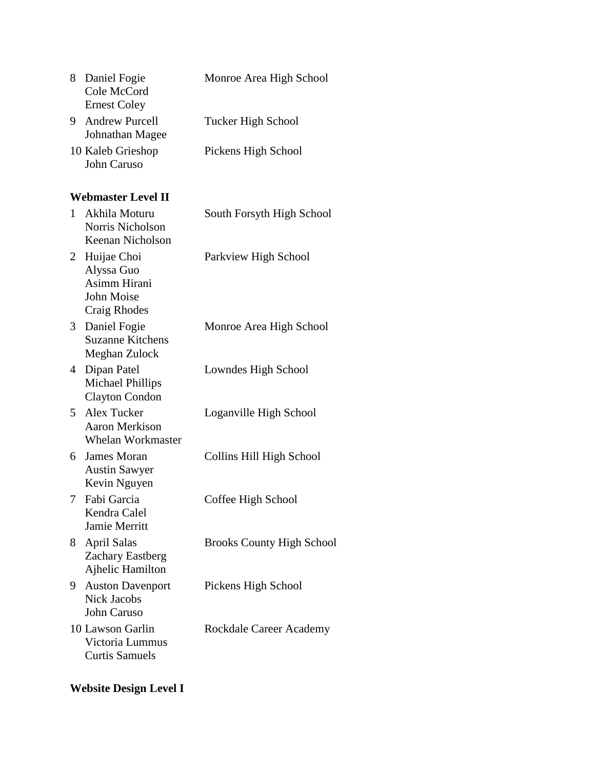| 8           | Daniel Fogie<br>Cole McCord<br><b>Ernest Coley</b>                               | Monroe Area High School          |
|-------------|----------------------------------------------------------------------------------|----------------------------------|
| 9           | <b>Andrew Purcell</b><br>Johnathan Magee                                         | <b>Tucker High School</b>        |
|             | 10 Kaleb Grieshop<br>John Caruso                                                 | Pickens High School              |
|             | <b>Webmaster Level II</b>                                                        |                                  |
| 1           | Akhila Moturu<br>Norris Nicholson<br>Keenan Nicholson                            | South Forsyth High School        |
|             | 2 Huijae Choi<br>Alyssa Guo<br>Asimm Hirani<br>John Moise<br><b>Craig Rhodes</b> | Parkview High School             |
| 3           | Daniel Fogie<br><b>Suzanne Kitchens</b><br>Meghan Zulock                         | Monroe Area High School          |
| 4           | Dipan Patel<br><b>Michael Phillips</b><br><b>Clayton Condon</b>                  | Lowndes High School              |
| $5^{\circ}$ | Alex Tucker<br><b>Aaron Merkison</b><br><b>Whelan Workmaster</b>                 | Loganville High School           |
| 6           | <b>James Moran</b><br><b>Austin Sawyer</b><br>Kevin Nguyen                       | Collins Hill High School         |
| 7           | Fabi Garcia<br>Kendra Calel<br><b>Jamie Merritt</b>                              | Coffee High School               |
| 8           | <b>April Salas</b><br><b>Zachary Eastberg</b><br>Ajhelic Hamilton                | <b>Brooks County High School</b> |
| 9.          | <b>Auston Davenport</b><br><b>Nick Jacobs</b><br><b>John Caruso</b>              | Pickens High School              |
|             | 10 Lawson Garlin<br>Victoria Lummus<br><b>Curtis Samuels</b>                     | Rockdale Career Academy          |

# **Website Design Level I**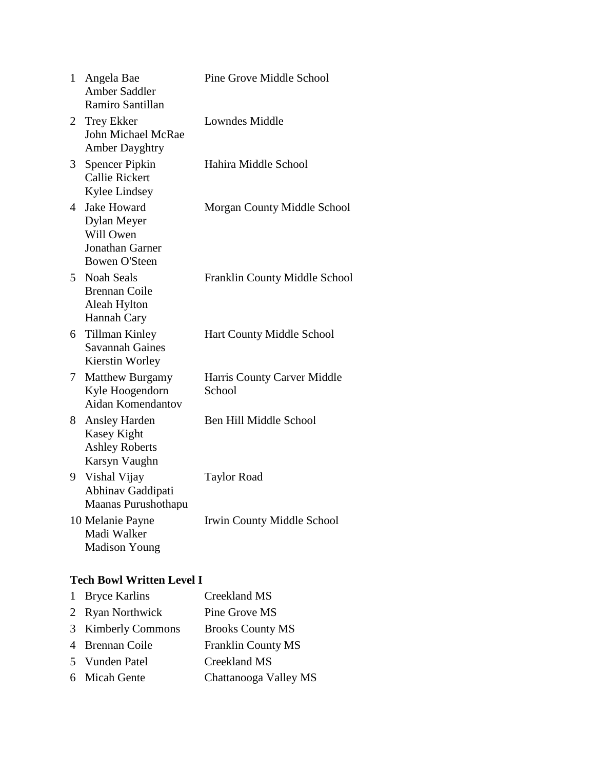|                                  | 1 Angela Bae<br>Amber Saddler<br>Ramiro Santillan                                    | Pine Grove Middle School              |
|----------------------------------|--------------------------------------------------------------------------------------|---------------------------------------|
|                                  | 2 Trey Ekker<br>John Michael McRae<br><b>Amber Dayghtry</b>                          | Lowndes Middle                        |
| 3                                | <b>Spencer Pipkin</b><br><b>Callie Rickert</b><br>Kylee Lindsey                      | Hahira Middle School                  |
|                                  | 4 Jake Howard<br>Dylan Meyer<br>Will Owen<br>Jonathan Garner<br><b>Bowen O'Steen</b> | Morgan County Middle School           |
|                                  | 5 Noah Seals<br><b>Brennan Coile</b><br>Aleah Hylton<br>Hannah Cary                  | Franklin County Middle School         |
|                                  | 6 Tillman Kinley<br><b>Savannah Gaines</b><br>Kierstin Worley                        | <b>Hart County Middle School</b>      |
| 7                                | <b>Matthew Burgamy</b><br>Kyle Hoogendorn<br>Aidan Komendantov                       | Harris County Carver Middle<br>School |
|                                  | 8 Ansley Harden<br><b>Kasey Kight</b><br><b>Ashley Roberts</b><br>Karsyn Vaughn      | Ben Hill Middle School                |
| 9                                | Vishal Vijay<br>Abhinav Gaddipati<br>Maanas Purushothapu                             | <b>Taylor Road</b>                    |
|                                  | 10 Melanie Payne<br>Madi Walker<br><b>Madison Young</b>                              | Irwin County Middle School            |
| <b>Tech Bowl Written Level I</b> |                                                                                      |                                       |
|                                  |                                                                                      |                                       |

| 1 Bryce Karlins    | Creekland MS              |
|--------------------|---------------------------|
| 2 Ryan Northwick   | Pine Grove MS             |
| 3 Kimberly Commons | <b>Brooks County MS</b>   |
| 4 Brennan Coile    | <b>Franklin County MS</b> |
| 5 Vunden Patel     | Creekland MS              |
| 6 Micah Gente      | Chattanooga Valley MS     |